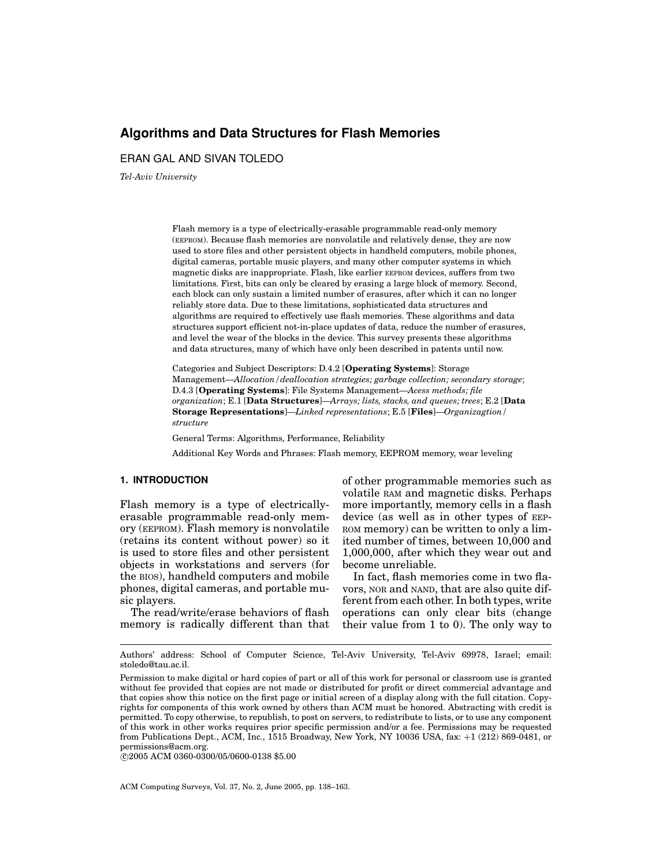# **Algorithms and Data Structures for Flash Memories**

ERAN GAL AND SIVAN TOLEDO

*Tel-Aviv University*

Flash memory is a type of electrically-erasable programmable read-only memory (EEPROM). Because flash memories are nonvolatile and relatively dense, they are now used to store files and other persistent objects in handheld computers, mobile phones, digital cameras, portable music players, and many other computer systems in which magnetic disks are inappropriate. Flash, like earlier EEPROM devices, suffers from two limitations. First, bits can only be cleared by erasing a large block of memory. Second, each block can only sustain a limited number of erasures, after which it can no longer reliably store data. Due to these limitations, sophisticated data structures and algorithms are required to effectively use flash memories. These algorithms and data structures support efficient not-in-place updates of data, reduce the number of erasures, and level the wear of the blocks in the device. This survey presents these algorithms and data structures, many of which have only been described in patents until now.

Categories and Subject Descriptors: D.4.2 [**Operating Systems**]: Storage Management—*Allocation/deallocation strategies; garbage collection; secondary storage*; D.4.3 [**Operating Systems**]: File Systems Management—*Acess methods; file organization*; E.1 [**Data Structures**]—*Arrays; lists, stacks, and queues; trees*; E.2 [**Data Storage Representations**]—*Linked representations*; E.5 [**Files**]—*Organizagtion/ structure*

General Terms: Algorithms, Performance, Reliability

Additional Key Words and Phrases: Flash memory, EEPROM memory, wear leveling

## **1. INTRODUCTION**

Flash memory is a type of electricallyerasable programmable read-only memory (EEPROM). Flash memory is nonvolatile (retains its content without power) so it is used to store files and other persistent objects in workstations and servers (for the BIOS), handheld computers and mobile phones, digital cameras, and portable music players.

The read/write/erase behaviors of flash memory is radically different than that of other programmable memories such as volatile RAM and magnetic disks. Perhaps more importantly, memory cells in a flash device (as well as in other types of EEP-ROM memory) can be written to only a limited number of times, between 10,000 and 1,000,000, after which they wear out and become unreliable.

In fact, flash memories come in two flavors, NOR and NAND, that are also quite different from each other. In both types, write operations can only clear bits (change their value from 1 to 0). The only way to

c 2005 ACM 0360-0300/05/0600-0138 \$5.00

Authors' address: School of Computer Science, Tel-Aviv University, Tel-Aviv 69978, Israel; email: stoledo@tau.ac.il.

Permission to make digital or hard copies of part or all of this work for personal or classroom use is granted without fee provided that copies are not made or distributed for profit or direct commercial advantage and that copies show this notice on the first page or initial screen of a display along with the full citation. Copyrights for components of this work owned by others than ACM must be honored. Abstracting with credit is permitted. To copy otherwise, to republish, to post on servers, to redistribute to lists, or to use any component of this work in other works requires prior specific permission and/or a fee. Permissions may be requested from Publications Dept., ACM, Inc., 1515 Broadway, New York, NY 10036 USA, fax: +1 (212) 869-0481, or permissions@acm.org.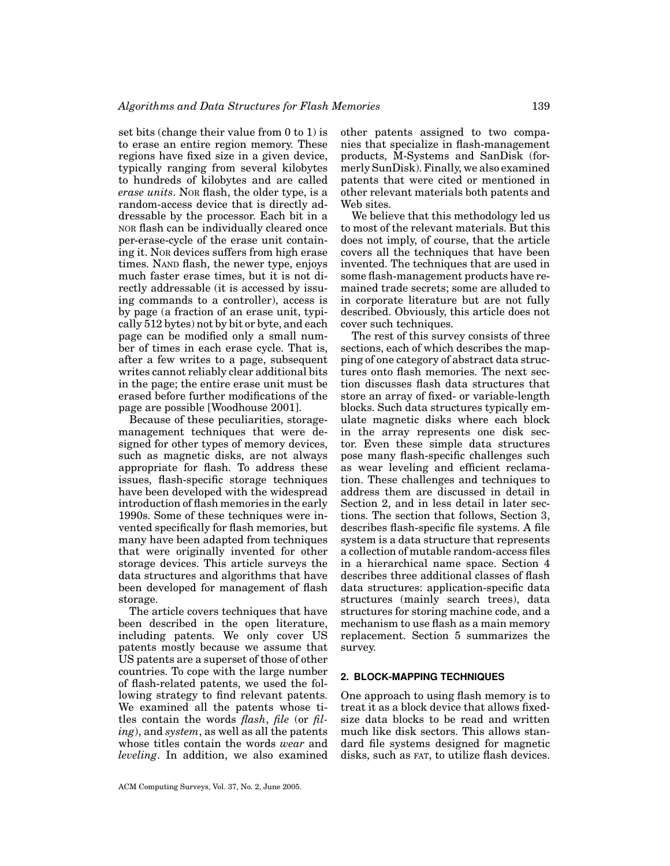set bits (change their value from 0 to 1) is to erase an entire region memory. These regions have fixed size in a given device, typically ranging from several kilobytes to hundreds of kilobytes and are called *erase units*. NOR flash, the older type, is a random-access device that is directly addressable by the processor. Each bit in a NOR flash can be individually cleared once per-erase-cycle of the erase unit containing it. NOR devices suffers from high erase times. NAND flash, the newer type, enjoys much faster erase times, but it is not directly addressable (it is accessed by issuing commands to a controller), access is by page (a fraction of an erase unit, typically 512 bytes) not by bit or byte, and each page can be modified only a small number of times in each erase cycle. That is, after a few writes to a page, subsequent writes cannot reliably clear additional bits in the page; the entire erase unit must be erased before further modifications of the page are possible [Woodhouse 2001].

Because of these peculiarities, storagemanagement techniques that were designed for other types of memory devices, such as magnetic disks, are not always appropriate for flash. To address these issues, flash-specific storage techniques have been developed with the widespread introduction of flash memories in the early 1990s. Some of these techniques were invented specifically for flash memories, but many have been adapted from techniques that were originally invented for other storage devices. This article surveys the data structures and algorithms that have been developed for management of flash storage.

The article covers techniques that have been described in the open literature, including patents. We only cover US patents mostly because we assume that US patents are a superset of those of other countries. To cope with the large number of flash-related patents, we used the following strategy to find relevant patents. We examined all the patents whose titles contain the words *flash*, *file* (or *filing*), and *system*, as well as all the patents whose titles contain the words *wear* and *leveling*. In addition, we also examined

other patents assigned to two companies that specialize in flash-management products, M-Systems and SanDisk (formerly SunDisk). Finally, we also examined patents that were cited or mentioned in other relevant materials both patents and Web sites.

We believe that this methodology led us to most of the relevant materials. But this does not imply, of course, that the article covers all the techniques that have been invented. The techniques that are used in some flash-management products have remained trade secrets; some are alluded to in corporate literature but are not fully described. Obviously, this article does not cover such techniques.

The rest of this survey consists of three sections, each of which describes the mapping of one category of abstract data structures onto flash memories. The next section discusses flash data structures that store an array of fixed- or variable-length blocks. Such data structures typically emulate magnetic disks where each block in the array represents one disk sector. Even these simple data structures pose many flash-specific challenges such as wear leveling and efficient reclamation. These challenges and techniques to address them are discussed in detail in Section 2, and in less detail in later sections. The section that follows, Section 3, describes flash-specific file systems. A file system is a data structure that represents a collection of mutable random-access files in a hierarchical name space. Section 4 describes three additional classes of flash data structures: application-specific data structures (mainly search trees), data structures for storing machine code, and a mechanism to use flash as a main memory replacement. Section 5 summarizes the survey.

#### **2. BLOCK-MAPPING TECHNIQUES**

One approach to using flash memory is to treat it as a block device that allows fixedsize data blocks to be read and written much like disk sectors. This allows standard file systems designed for magnetic disks, such as FAT, to utilize flash devices.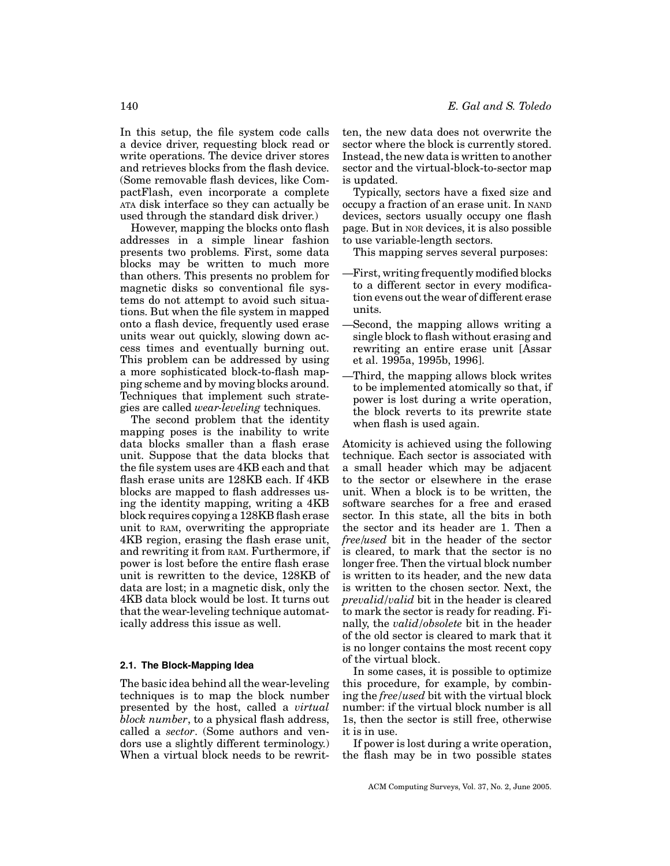In this setup, the file system code calls a device driver, requesting block read or write operations. The device driver stores and retrieves blocks from the flash device. (Some removable flash devices, like CompactFlash, even incorporate a complete ATA disk interface so they can actually be used through the standard disk driver.)

However, mapping the blocks onto flash addresses in a simple linear fashion presents two problems. First, some data blocks may be written to much more than others. This presents no problem for magnetic disks so conventional file systems do not attempt to avoid such situations. But when the file system in mapped onto a flash device, frequently used erase units wear out quickly, slowing down access times and eventually burning out. This problem can be addressed by using a more sophisticated block-to-flash mapping scheme and by moving blocks around. Techniques that implement such strategies are called *wear-leveling* techniques.

The second problem that the identity mapping poses is the inability to write data blocks smaller than a flash erase unit. Suppose that the data blocks that the file system uses are 4KB each and that flash erase units are 128KB each. If 4KB blocks are mapped to flash addresses using the identity mapping, writing a 4KB block requires copying a 128KB flash erase unit to RAM, overwriting the appropriate 4KB region, erasing the flash erase unit, and rewriting it from RAM. Furthermore, if power is lost before the entire flash erase unit is rewritten to the device, 128KB of data are lost; in a magnetic disk, only the 4KB data block would be lost. It turns out that the wear-leveling technique automatically address this issue as well.

### **2.1. The Block-Mapping Idea**

The basic idea behind all the wear-leveling techniques is to map the block number presented by the host, called a *virtual block number*, to a physical flash address, called a *sector*. (Some authors and vendors use a slightly different terminology.) When a virtual block needs to be rewritten, the new data does not overwrite the sector where the block is currently stored. Instead, the new data is written to another sector and the virtual-block-to-sector map is updated.

Typically, sectors have a fixed size and occupy a fraction of an erase unit. In NAND devices, sectors usually occupy one flash page. But in NOR devices, it is also possible to use variable-length sectors.

This mapping serves several purposes:

- —First, writing frequently modified blocks to a different sector in every modification evens out the wear of different erase units.
- —Second, the mapping allows writing a single block to flash without erasing and rewriting an entire erase unit [Assar et al. 1995a, 1995b, 1996].
- —Third, the mapping allows block writes to be implemented atomically so that, if power is lost during a write operation, the block reverts to its prewrite state when flash is used again.

Atomicity is achieved using the following technique. Each sector is associated with a small header which may be adjacent to the sector or elsewhere in the erase unit. When a block is to be written, the software searches for a free and erased sector. In this state, all the bits in both the sector and its header are 1. Then a *free/used* bit in the header of the sector is cleared, to mark that the sector is no longer free. Then the virtual block number is written to its header, and the new data is written to the chosen sector. Next, the *prevalid/valid* bit in the header is cleared to mark the sector is ready for reading. Finally, the *valid/obsolete* bit in the header of the old sector is cleared to mark that it is no longer contains the most recent copy of the virtual block.

In some cases, it is possible to optimize this procedure, for example, by combining the *free/used* bit with the virtual block number: if the virtual block number is all 1s, then the sector is still free, otherwise it is in use.

If power is lost during a write operation, the flash may be in two possible states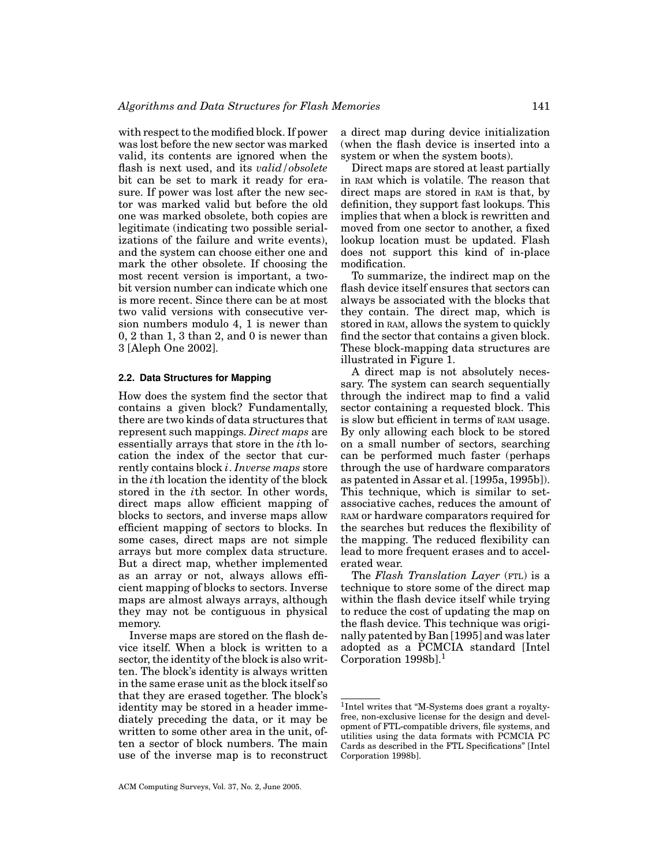with respect to the modified block. If power was lost before the new sector was marked valid, its contents are ignored when the flash is next used, and its *valid/obsolete* bit can be set to mark it ready for erasure. If power was lost after the new sector was marked valid but before the old one was marked obsolete, both copies are legitimate (indicating two possible serializations of the failure and write events), and the system can choose either one and mark the other obsolete. If choosing the most recent version is important, a twobit version number can indicate which one is more recent. Since there can be at most two valid versions with consecutive version numbers modulo 4, 1 is newer than 0, 2 than 1, 3 than 2, and 0 is newer than 3 [Aleph One 2002].

#### **2.2. Data Structures for Mapping**

How does the system find the sector that contains a given block? Fundamentally, there are two kinds of data structures that represent such mappings. *Direct maps* are essentially arrays that store in the *i*th location the index of the sector that currently contains block *i*. *Inverse maps* store in the *i*th location the identity of the block stored in the *i*th sector. In other words, direct maps allow efficient mapping of blocks to sectors, and inverse maps allow efficient mapping of sectors to blocks. In some cases, direct maps are not simple arrays but more complex data structure. But a direct map, whether implemented as an array or not, always allows efficient mapping of blocks to sectors. Inverse maps are almost always arrays, although they may not be contiguous in physical memory.

Inverse maps are stored on the flash device itself. When a block is written to a sector, the identity of the block is also written. The block's identity is always written in the same erase unit as the block itself so that they are erased together. The block's identity may be stored in a header immediately preceding the data, or it may be written to some other area in the unit, often a sector of block numbers. The main use of the inverse map is to reconstruct a direct map during device initialization (when the flash device is inserted into a system or when the system boots).

Direct maps are stored at least partially in RAM which is volatile. The reason that direct maps are stored in RAM is that, by definition, they support fast lookups. This implies that when a block is rewritten and moved from one sector to another, a fixed lookup location must be updated. Flash does not support this kind of in-place modification.

To summarize, the indirect map on the flash device itself ensures that sectors can always be associated with the blocks that they contain. The direct map, which is stored in RAM, allows the system to quickly find the sector that contains a given block. These block-mapping data structures are illustrated in Figure 1.

A direct map is not absolutely necessary. The system can search sequentially through the indirect map to find a valid sector containing a requested block. This is slow but efficient in terms of RAM usage. By only allowing each block to be stored on a small number of sectors, searching can be performed much faster (perhaps through the use of hardware comparators as patented in Assar et al. [1995a, 1995b]). This technique, which is similar to setassociative caches, reduces the amount of RAM or hardware comparators required for the searches but reduces the flexibility of the mapping. The reduced flexibility can lead to more frequent erases and to accelerated wear.

The *Flash Translation Layer* (FTL) is a technique to store some of the direct map within the flash device itself while trying to reduce the cost of updating the map on the flash device. This technique was originally patented by Ban [1995] and was later adopted as a PCMCIA standard [Intel Corporation 1998b].<sup>1</sup>

<sup>&</sup>lt;sup>1</sup>Intel writes that "M-Systems does grant a royaltyfree, non-exclusive license for the design and development of FTL-compatible drivers, file systems, and utilities using the data formats with PCMCIA PC Cards as described in the FTL Specifications" [Intel Corporation 1998b].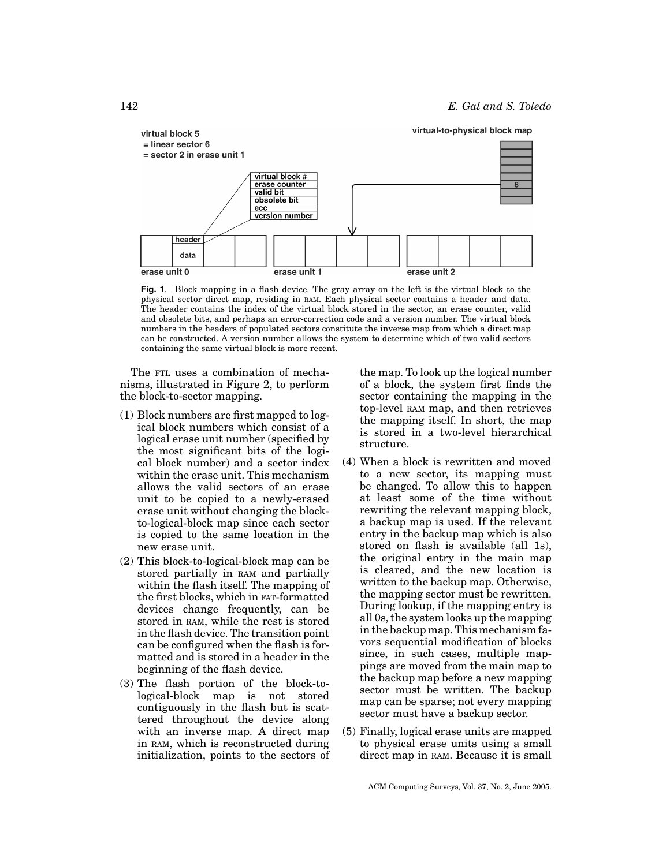

**Fig. 1**. Block mapping in a flash device. The gray array on the left is the virtual block to the physical sector direct map, residing in RAM. Each physical sector contains a header and data. The header contains the index of the virtual block stored in the sector, an erase counter, valid and obsolete bits, and perhaps an error-correction code and a version number. The virtual block numbers in the headers of populated sectors constitute the inverse map from which a direct map can be constructed. A version number allows the system to determine which of two valid sectors containing the same virtual block is more recent.

The FTL uses a combination of mechanisms, illustrated in Figure 2, to perform the block-to-sector mapping.

- (1) Block numbers are first mapped to logical block numbers which consist of a logical erase unit number (specified by the most significant bits of the logical block number) and a sector index within the erase unit. This mechanism allows the valid sectors of an erase unit to be copied to a newly-erased erase unit without changing the blockto-logical-block map since each sector is copied to the same location in the new erase unit.
- (2) This block-to-logical-block map can be stored partially in RAM and partially within the flash itself. The mapping of the first blocks, which in FAT-formatted devices change frequently, can be stored in RAM, while the rest is stored in the flash device. The transition point can be configured when the flash is formatted and is stored in a header in the beginning of the flash device.
- (3) The flash portion of the block-tological-block map is not stored contiguously in the flash but is scattered throughout the device along with an inverse map. A direct map in RAM, which is reconstructed during initialization, points to the sectors of

the map. To look up the logical number of a block, the system first finds the sector containing the mapping in the top-level RAM map, and then retrieves the mapping itself. In short, the map is stored in a two-level hierarchical structure.

- (4) When a block is rewritten and moved to a new sector, its mapping must be changed. To allow this to happen at least some of the time without rewriting the relevant mapping block, a backup map is used. If the relevant entry in the backup map which is also stored on flash is available (all 1s), the original entry in the main map is cleared, and the new location is written to the backup map. Otherwise, the mapping sector must be rewritten. During lookup, if the mapping entry is all 0s, the system looks up the mapping in the backup map. This mechanism favors sequential modification of blocks since, in such cases, multiple mappings are moved from the main map to the backup map before a new mapping sector must be written. The backup map can be sparse; not every mapping sector must have a backup sector.
- (5) Finally, logical erase units are mapped to physical erase units using a small direct map in RAM. Because it is small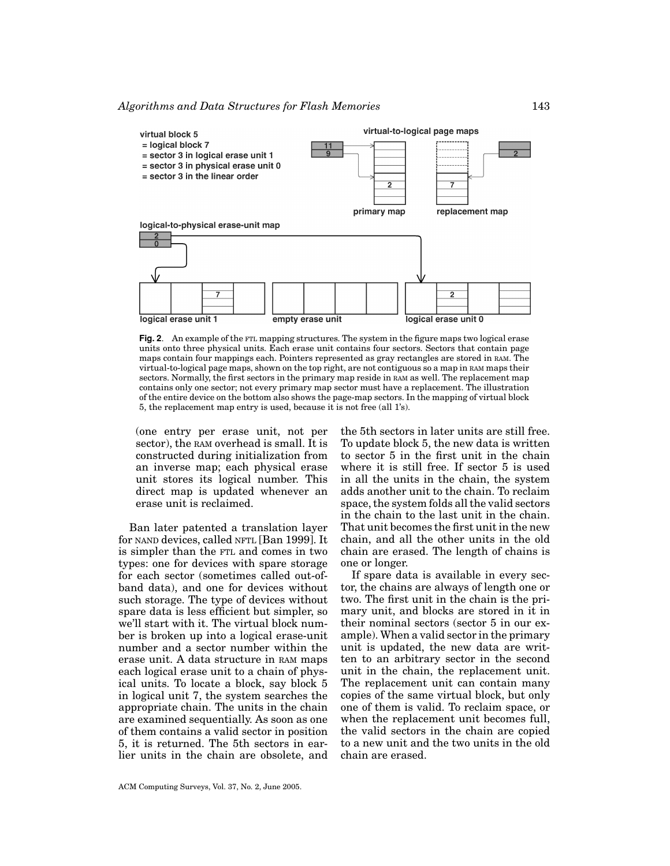

**Fig. 2**. An example of the FTL mapping structures. The system in the figure maps two logical erase units onto three physical units. Each erase unit contains four sectors. Sectors that contain page maps contain four mappings each. Pointers represented as gray rectangles are stored in RAM. The virtual-to-logical page maps, shown on the top right, are not contiguous so a map in RAM maps their sectors. Normally, the first sectors in the primary map reside in RAM as well. The replacement map contains only one sector; not every primary map sector must have a replacement. The illustration of the entire device on the bottom also shows the page-map sectors. In the mapping of virtual block 5, the replacement map entry is used, because it is not free (all 1's).

(one entry per erase unit, not per sector), the RAM overhead is small. It is constructed during initialization from an inverse map; each physical erase unit stores its logical number. This direct map is updated whenever an erase unit is reclaimed.

Ban later patented a translation layer for NAND devices, called NFTL [Ban 1999]. It is simpler than the FTL and comes in two types: one for devices with spare storage for each sector (sometimes called out-ofband data), and one for devices without such storage. The type of devices without spare data is less efficient but simpler, so we'll start with it. The virtual block number is broken up into a logical erase-unit number and a sector number within the erase unit. A data structure in RAM maps each logical erase unit to a chain of physical units. To locate a block, say block 5 in logical unit 7, the system searches the appropriate chain. The units in the chain are examined sequentially. As soon as one of them contains a valid sector in position 5, it is returned. The 5th sectors in earlier units in the chain are obsolete, and

the 5th sectors in later units are still free. To update block 5, the new data is written to sector 5 in the first unit in the chain where it is still free. If sector 5 is used in all the units in the chain, the system adds another unit to the chain. To reclaim space, the system folds all the valid sectors in the chain to the last unit in the chain. That unit becomes the first unit in the new chain, and all the other units in the old chain are erased. The length of chains is one or longer.

If spare data is available in every sector, the chains are always of length one or two. The first unit in the chain is the primary unit, and blocks are stored in it in their nominal sectors (sector 5 in our example). When a valid sector in the primary unit is updated, the new data are written to an arbitrary sector in the second unit in the chain, the replacement unit. The replacement unit can contain many copies of the same virtual block, but only one of them is valid. To reclaim space, or when the replacement unit becomes full, the valid sectors in the chain are copied to a new unit and the two units in the old chain are erased.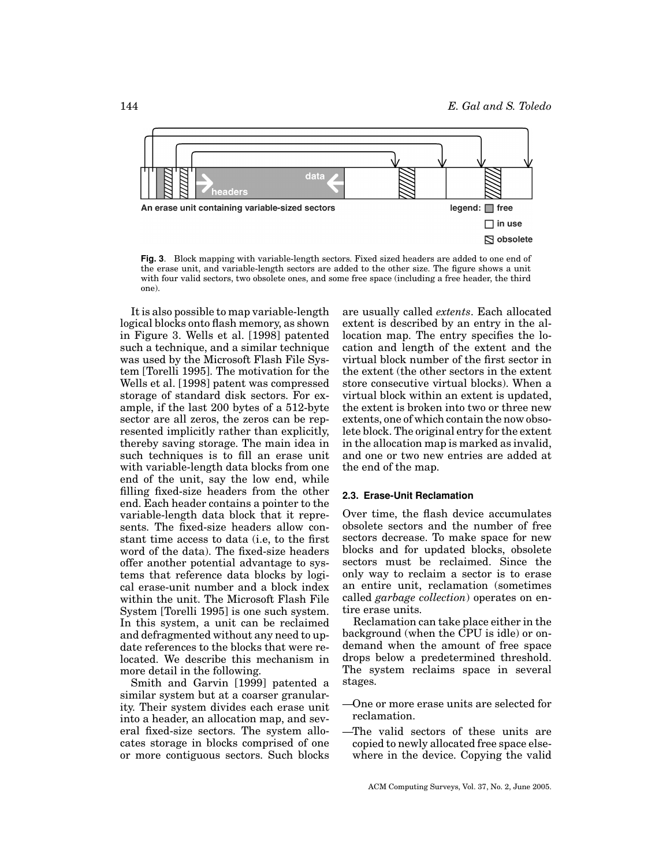

Fig. 3. Block mapping with variable-length sectors. Fixed sized headers are added to one end of the erase unit, and variable-length sectors are added to the other size. The figure shows a unit with four valid sectors, two obsolete ones, and some free space (including a free header, the third one).

It is also possible to map variable-length logical blocks onto flash memory, as shown in Figure 3. Wells et al. [1998] patented such a technique, and a similar technique was used by the Microsoft Flash File System [Torelli 1995]. The motivation for the Wells et al. [1998] patent was compressed storage of standard disk sectors. For example, if the last 200 bytes of a 512-byte sector are all zeros, the zeros can be represented implicitly rather than explicitly, thereby saving storage. The main idea in such techniques is to fill an erase unit with variable-length data blocks from one end of the unit, say the low end, while filling fixed-size headers from the other end. Each header contains a pointer to the variable-length data block that it represents. The fixed-size headers allow constant time access to data (i.e, to the first word of the data). The fixed-size headers offer another potential advantage to systems that reference data blocks by logical erase-unit number and a block index within the unit. The Microsoft Flash File System [Torelli 1995] is one such system. In this system, a unit can be reclaimed and defragmented without any need to update references to the blocks that were relocated. We describe this mechanism in more detail in the following.

Smith and Garvin [1999] patented a similar system but at a coarser granularity. Their system divides each erase unit into a header, an allocation map, and several fixed-size sectors. The system allocates storage in blocks comprised of one or more contiguous sectors. Such blocks are usually called *extents*. Each allocated extent is described by an entry in the allocation map. The entry specifies the location and length of the extent and the virtual block number of the first sector in the extent (the other sectors in the extent store consecutive virtual blocks). When a virtual block within an extent is updated, the extent is broken into two or three new extents, one of which contain the now obsolete block. The original entry for the extent in the allocation map is marked as invalid, and one or two new entries are added at the end of the map.

### **2.3. Erase-Unit Reclamation**

Over time, the flash device accumulates obsolete sectors and the number of free sectors decrease. To make space for new blocks and for updated blocks, obsolete sectors must be reclaimed. Since the only way to reclaim a sector is to erase an entire unit, reclamation (sometimes called *garbage collection*) operates on entire erase units.

Reclamation can take place either in the background (when the CPU is idle) or ondemand when the amount of free space drops below a predetermined threshold. The system reclaims space in several stages.

- —One or more erase units are selected for reclamation.
- —The valid sectors of these units are copied to newly allocated free space elsewhere in the device. Copying the valid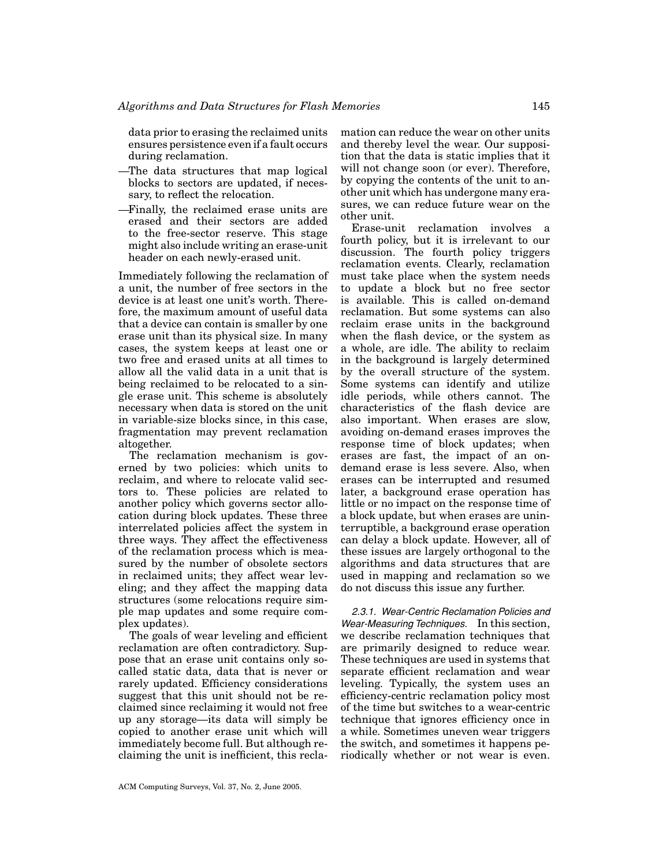data prior to erasing the reclaimed units ensures persistence even if a fault occurs during reclamation.

- —The data structures that map logical blocks to sectors are updated, if necessary, to reflect the relocation.
- —Finally, the reclaimed erase units are erased and their sectors are added to the free-sector reserve. This stage might also include writing an erase-unit header on each newly-erased unit.

Immediately following the reclamation of a unit, the number of free sectors in the device is at least one unit's worth. Therefore, the maximum amount of useful data that a device can contain is smaller by one erase unit than its physical size. In many cases, the system keeps at least one or two free and erased units at all times to allow all the valid data in a unit that is being reclaimed to be relocated to a single erase unit. This scheme is absolutely necessary when data is stored on the unit in variable-size blocks since, in this case, fragmentation may prevent reclamation altogether.

The reclamation mechanism is governed by two policies: which units to reclaim, and where to relocate valid sectors to. These policies are related to another policy which governs sector allocation during block updates. These three interrelated policies affect the system in three ways. They affect the effectiveness of the reclamation process which is measured by the number of obsolete sectors in reclaimed units; they affect wear leveling; and they affect the mapping data structures (some relocations require simple map updates and some require complex updates).

The goals of wear leveling and efficient reclamation are often contradictory. Suppose that an erase unit contains only socalled static data, data that is never or rarely updated. Efficiency considerations suggest that this unit should not be reclaimed since reclaiming it would not free up any storage—its data will simply be copied to another erase unit which will immediately become full. But although reclaiming the unit is inefficient, this reclamation can reduce the wear on other units and thereby level the wear. Our supposition that the data is static implies that it will not change soon (or ever). Therefore, by copying the contents of the unit to another unit which has undergone many erasures, we can reduce future wear on the other unit.

Erase-unit reclamation involves a fourth policy, but it is irrelevant to our discussion. The fourth policy triggers reclamation events. Clearly, reclamation must take place when the system needs to update a block but no free sector is available. This is called on-demand reclamation. But some systems can also reclaim erase units in the background when the flash device, or the system as a whole, are idle. The ability to reclaim in the background is largely determined by the overall structure of the system. Some systems can identify and utilize idle periods, while others cannot. The characteristics of the flash device are also important. When erases are slow, avoiding on-demand erases improves the response time of block updates; when erases are fast, the impact of an ondemand erase is less severe. Also, when erases can be interrupted and resumed later, a background erase operation has little or no impact on the response time of a block update, but when erases are uninterruptible, a background erase operation can delay a block update. However, all of these issues are largely orthogonal to the algorithms and data structures that are used in mapping and reclamation so we do not discuss this issue any further.

*2.3.1. Wear-Centric Reclamation Policies and Wear-Measuring Techniques.* In this section, we describe reclamation techniques that are primarily designed to reduce wear. These techniques are used in systems that separate efficient reclamation and wear leveling. Typically, the system uses an efficiency-centric reclamation policy most of the time but switches to a wear-centric technique that ignores efficiency once in a while. Sometimes uneven wear triggers the switch, and sometimes it happens periodically whether or not wear is even.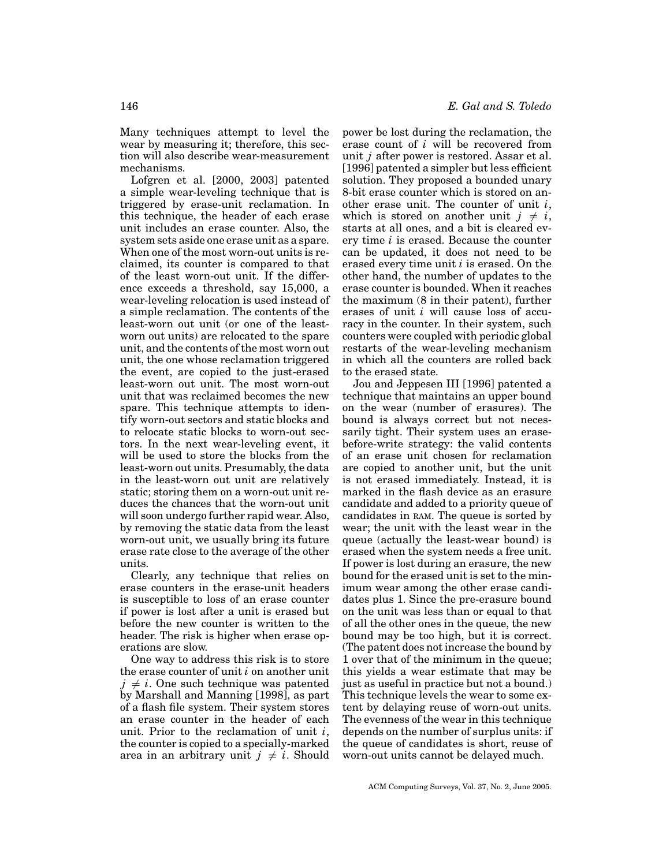Many techniques attempt to level the wear by measuring it; therefore, this section will also describe wear-measurement mechanisms.

Lofgren et al. [2000, 2003] patented a simple wear-leveling technique that is triggered by erase-unit reclamation. In this technique, the header of each erase unit includes an erase counter. Also, the system sets aside one erase unit as a spare. When one of the most worn-out units is reclaimed, its counter is compared to that of the least worn-out unit. If the difference exceeds a threshold, say 15,000, a wear-leveling relocation is used instead of a simple reclamation. The contents of the least-worn out unit (or one of the leastworn out units) are relocated to the spare unit, and the contents of the most worn out unit, the one whose reclamation triggered the event, are copied to the just-erased least-worn out unit. The most worn-out unit that was reclaimed becomes the new spare. This technique attempts to identify worn-out sectors and static blocks and to relocate static blocks to worn-out sectors. In the next wear-leveling event, it will be used to store the blocks from the least-worn out units. Presumably, the data in the least-worn out unit are relatively static; storing them on a worn-out unit reduces the chances that the worn-out unit will soon undergo further rapid wear. Also, by removing the static data from the least worn-out unit, we usually bring its future erase rate close to the average of the other units.

Clearly, any technique that relies on erase counters in the erase-unit headers is susceptible to loss of an erase counter if power is lost after a unit is erased but before the new counter is written to the header. The risk is higher when erase operations are slow.

One way to address this risk is to store the erase counter of unit *i* on another unit  $j \neq i$ . One such technique was patented by Marshall and Manning [1998], as part of a flash file system. Their system stores an erase counter in the header of each unit. Prior to the reclamation of unit *i*, the counter is copied to a specially-marked area in an arbitrary unit  $j \neq i$ . Should

power be lost during the reclamation, the erase count of *i* will be recovered from unit *j* after power is restored. Assar et al. [1996] patented a simpler but less efficient solution. They proposed a bounded unary 8-bit erase counter which is stored on another erase unit. The counter of unit *i*, which is stored on another unit  $j \neq i$ , starts at all ones, and a bit is cleared every time *i* is erased. Because the counter can be updated, it does not need to be erased every time unit *i* is erased. On the other hand, the number of updates to the erase counter is bounded. When it reaches the maximum (8 in their patent), further erases of unit *i* will cause loss of accuracy in the counter. In their system, such counters were coupled with periodic global restarts of the wear-leveling mechanism in which all the counters are rolled back to the erased state.

Jou and Jeppesen III [1996] patented a technique that maintains an upper bound on the wear (number of erasures). The bound is always correct but not necessarily tight. Their system uses an erasebefore-write strategy: the valid contents of an erase unit chosen for reclamation are copied to another unit, but the unit is not erased immediately. Instead, it is marked in the flash device as an erasure candidate and added to a priority queue of candidates in RAM. The queue is sorted by wear; the unit with the least wear in the queue (actually the least-wear bound) is erased when the system needs a free unit. If power is lost during an erasure, the new bound for the erased unit is set to the minimum wear among the other erase candidates plus 1. Since the pre-erasure bound on the unit was less than or equal to that of all the other ones in the queue, the new bound may be too high, but it is correct. (The patent does not increase the bound by 1 over that of the minimum in the queue; this yields a wear estimate that may be just as useful in practice but not a bound.) This technique levels the wear to some extent by delaying reuse of worn-out units. The evenness of the wear in this technique depends on the number of surplus units: if the queue of candidates is short, reuse of worn-out units cannot be delayed much.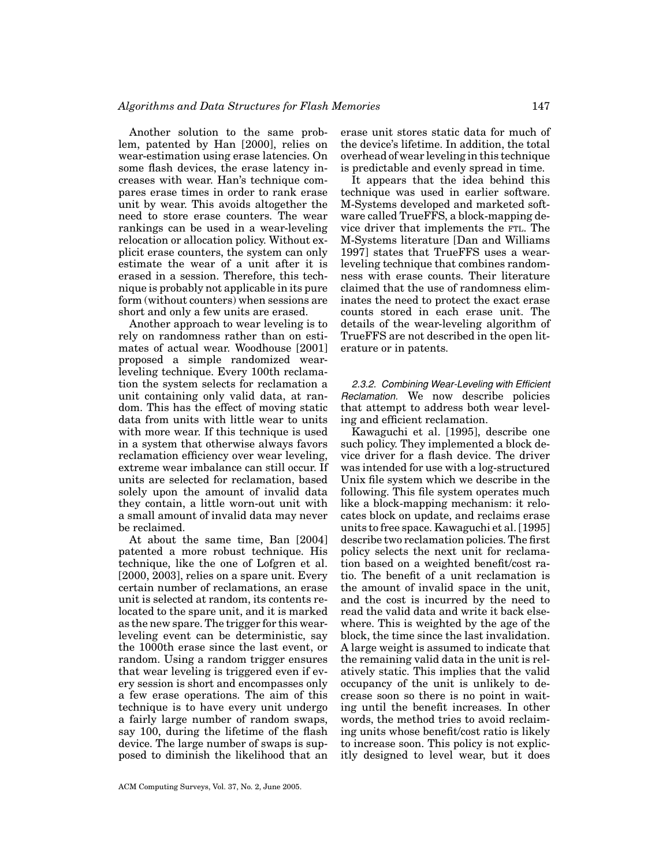Another solution to the same problem, patented by Han [2000], relies on wear-estimation using erase latencies. On some flash devices, the erase latency increases with wear. Han's technique compares erase times in order to rank erase unit by wear. This avoids altogether the need to store erase counters. The wear rankings can be used in a wear-leveling relocation or allocation policy. Without explicit erase counters, the system can only estimate the wear of a unit after it is erased in a session. Therefore, this technique is probably not applicable in its pure form (without counters) when sessions are short and only a few units are erased.

Another approach to wear leveling is to rely on randomness rather than on estimates of actual wear. Woodhouse [2001] proposed a simple randomized wearleveling technique. Every 100th reclamation the system selects for reclamation a unit containing only valid data, at random. This has the effect of moving static data from units with little wear to units with more wear. If this technique is used in a system that otherwise always favors reclamation efficiency over wear leveling, extreme wear imbalance can still occur. If units are selected for reclamation, based solely upon the amount of invalid data they contain, a little worn-out unit with a small amount of invalid data may never be reclaimed.

At about the same time, Ban [2004] patented a more robust technique. His technique, like the one of Lofgren et al. [2000, 2003], relies on a spare unit. Every certain number of reclamations, an erase unit is selected at random, its contents relocated to the spare unit, and it is marked as the new spare. The trigger for this wearleveling event can be deterministic, say the 1000th erase since the last event, or random. Using a random trigger ensures that wear leveling is triggered even if every session is short and encompasses only a few erase operations. The aim of this technique is to have every unit undergo a fairly large number of random swaps, say 100, during the lifetime of the flash device. The large number of swaps is supposed to diminish the likelihood that an erase unit stores static data for much of the device's lifetime. In addition, the total overhead of wear leveling in this technique is predictable and evenly spread in time.

It appears that the idea behind this technique was used in earlier software. M-Systems developed and marketed software called TrueFFS, a block-mapping device driver that implements the FTL. The M-Systems literature [Dan and Williams 1997] states that TrueFFS uses a wearleveling technique that combines randomness with erase counts. Their literature claimed that the use of randomness eliminates the need to protect the exact erase counts stored in each erase unit. The details of the wear-leveling algorithm of TrueFFS are not described in the open literature or in patents.

*2.3.2. Combining Wear-Leveling with Efficient Reclamation.* We now describe policies that attempt to address both wear leveling and efficient reclamation.

Kawaguchi et al. [1995], describe one such policy. They implemented a block device driver for a flash device. The driver was intended for use with a log-structured Unix file system which we describe in the following. This file system operates much like a block-mapping mechanism: it relocates block on update, and reclaims erase units to free space. Kawaguchi et al. [1995] describe two reclamation policies. The first policy selects the next unit for reclamation based on a weighted benefit/cost ratio. The benefit of a unit reclamation is the amount of invalid space in the unit, and the cost is incurred by the need to read the valid data and write it back elsewhere. This is weighted by the age of the block, the time since the last invalidation. A large weight is assumed to indicate that the remaining valid data in the unit is relatively static. This implies that the valid occupancy of the unit is unlikely to decrease soon so there is no point in waiting until the benefit increases. In other words, the method tries to avoid reclaiming units whose benefit/cost ratio is likely to increase soon. This policy is not explicitly designed to level wear, but it does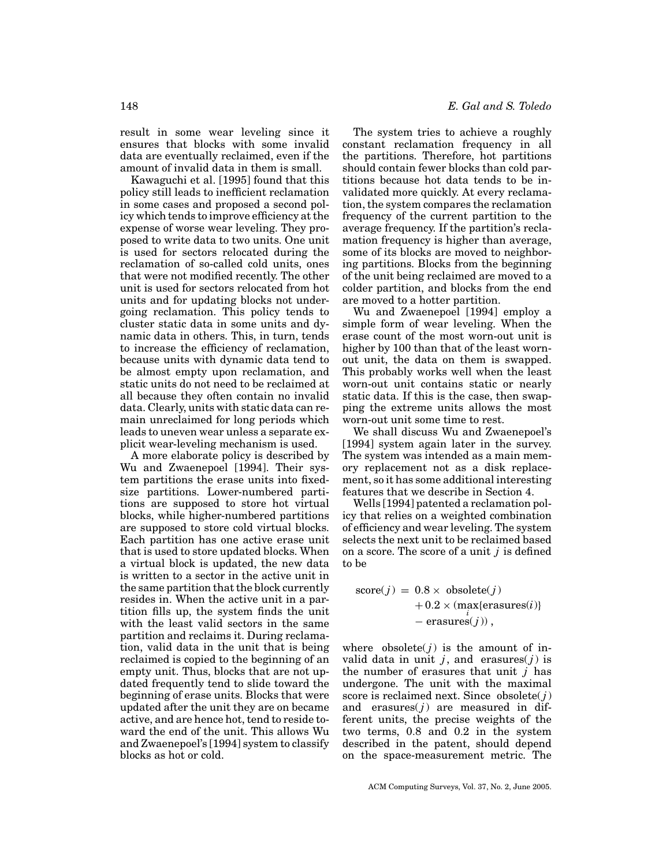result in some wear leveling since it ensures that blocks with some invalid data are eventually reclaimed, even if the amount of invalid data in them is small.

Kawaguchi et al. [1995] found that this policy still leads to inefficient reclamation in some cases and proposed a second policy which tends to improve efficiency at the expense of worse wear leveling. They proposed to write data to two units. One unit is used for sectors relocated during the reclamation of so-called cold units, ones that were not modified recently. The other unit is used for sectors relocated from hot units and for updating blocks not undergoing reclamation. This policy tends to cluster static data in some units and dynamic data in others. This, in turn, tends to increase the efficiency of reclamation, because units with dynamic data tend to be almost empty upon reclamation, and static units do not need to be reclaimed at all because they often contain no invalid data. Clearly, units with static data can remain unreclaimed for long periods which leads to uneven wear unless a separate explicit wear-leveling mechanism is used.

A more elaborate policy is described by Wu and Zwaenepoel [1994]. Their system partitions the erase units into fixedsize partitions. Lower-numbered partitions are supposed to store hot virtual blocks, while higher-numbered partitions are supposed to store cold virtual blocks. Each partition has one active erase unit that is used to store updated blocks. When a virtual block is updated, the new data is written to a sector in the active unit in the same partition that the block currently resides in. When the active unit in a partition fills up, the system finds the unit with the least valid sectors in the same partition and reclaims it. During reclamation, valid data in the unit that is being reclaimed is copied to the beginning of an empty unit. Thus, blocks that are not updated frequently tend to slide toward the beginning of erase units. Blocks that were updated after the unit they are on became active, and are hence hot, tend to reside toward the end of the unit. This allows Wu and Zwaenepoel's [1994] system to classify blocks as hot or cold.

The system tries to achieve a roughly constant reclamation frequency in all the partitions. Therefore, hot partitions should contain fewer blocks than cold partitions because hot data tends to be invalidated more quickly. At every reclamation, the system compares the reclamation frequency of the current partition to the average frequency. If the partition's reclamation frequency is higher than average, some of its blocks are moved to neighboring partitions. Blocks from the beginning of the unit being reclaimed are moved to a colder partition, and blocks from the end are moved to a hotter partition.

Wu and Zwaenepoel [1994] employ a simple form of wear leveling. When the erase count of the most worn-out unit is higher by 100 than that of the least wornout unit, the data on them is swapped. This probably works well when the least worn-out unit contains static or nearly static data. If this is the case, then swapping the extreme units allows the most worn-out unit some time to rest.

We shall discuss Wu and Zwaenepoel's [1994] system again later in the survey. The system was intended as a main memory replacement not as a disk replacement, so it has some additional interesting features that we describe in Section 4.

Wells [1994] patented a reclamation policy that relies on a weighted combination of efficiency and wear leveling. The system selects the next unit to be reclaimed based on a score. The score of a unit *j* is defined to be

score( *j*) = 0.8 × obsolete( *j*) + 0.2 × (max *<sup>i</sup>* {erasures(*i*)} − erasures( *j*)) ,

where obsolete( $j$ ) is the amount of invalid data in unit  $j$ , and erasures $(j)$  is the number of erasures that unit *j* has undergone. The unit with the maximal score is reclaimed next. Since obsolete( *j*) and erasures $(j)$  are measured in different units, the precise weights of the two terms, 0.8 and 0.2 in the system described in the patent, should depend on the space-measurement metric. The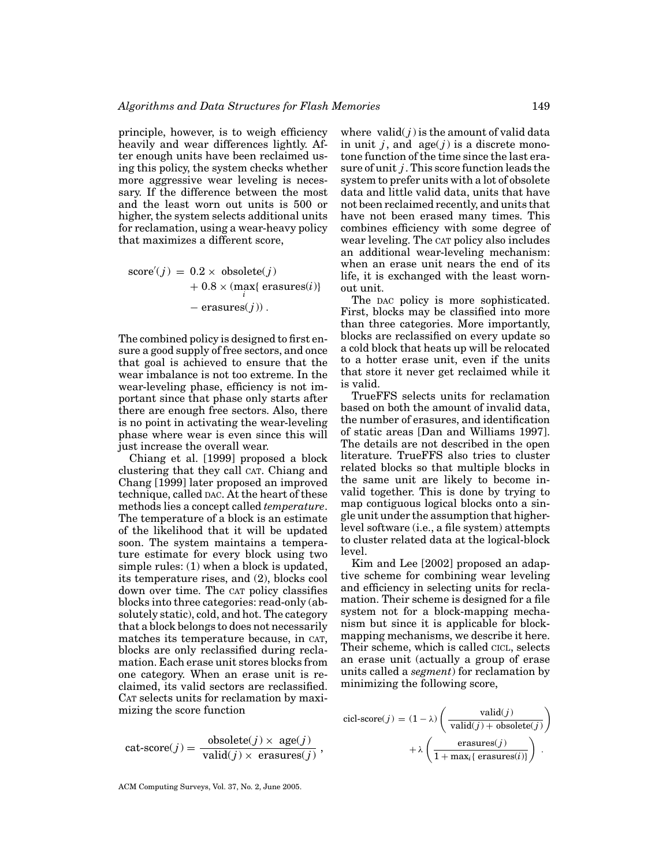principle, however, is to weigh efficiency heavily and wear differences lightly. After enough units have been reclaimed using this policy, the system checks whether more aggressive wear leveling is necessary. If the difference between the most and the least worn out units is 500 or higher, the system selects additional units for reclamation, using a wear-heavy policy that maximizes a different score,

score ( *j*) = 0.2 × obsolete( *j*) + 0.8 × (max *<sup>i</sup>* { erasures(*i*)} − erasures( *j*)) .

The combined policy is designed to first ensure a good supply of free sectors, and once that goal is achieved to ensure that the wear imbalance is not too extreme. In the wear-leveling phase, efficiency is not important since that phase only starts after there are enough free sectors. Also, there is no point in activating the wear-leveling phase where wear is even since this will just increase the overall wear.

Chiang et al. [1999] proposed a block clustering that they call CAT. Chiang and Chang [1999] later proposed an improved technique, called DAC. At the heart of these methods lies a concept called *temperature*. The temperature of a block is an estimate of the likelihood that it will be updated soon. The system maintains a temperature estimate for every block using two simple rules: (1) when a block is updated, its temperature rises, and (2), blocks cool down over time. The CAT policy classifies blocks into three categories: read-only (absolutely static), cold, and hot. The category that a block belongs to does not necessarily matches its temperature because, in CAT, blocks are only reclassified during reclamation. Each erase unit stores blocks from one category. When an erase unit is reclaimed, its valid sectors are reclassified. CAT selects units for reclamation by maximizing the score function

 $\text{cat-score}(j) = \frac{\text{obsolete}(j) \times \text{age}(j)}{\text{valid}(j) \times \text{erasures}(j)},$ 

ACM Computing Surveys, Vol. 37, No. 2, June 2005.

where  $valid(j)$  is the amount of valid data in unit  $j$ , and  $age(j)$  is a discrete monotone function of the time since the last erasure of unit *j*. This score function leads the system to prefer units with a lot of obsolete data and little valid data, units that have not been reclaimed recently, and units that have not been erased many times. This combines efficiency with some degree of wear leveling. The CAT policy also includes an additional wear-leveling mechanism: when an erase unit nears the end of its life, it is exchanged with the least wornout unit.

The DAC policy is more sophisticated. First, blocks may be classified into more than three categories. More importantly, blocks are reclassified on every update so a cold block that heats up will be relocated to a hotter erase unit, even if the units that store it never get reclaimed while it is valid.

TrueFFS selects units for reclamation based on both the amount of invalid data, the number of erasures, and identification of static areas [Dan and Williams 1997]. The details are not described in the open literature. TrueFFS also tries to cluster related blocks so that multiple blocks in the same unit are likely to become invalid together. This is done by trying to map contiguous logical blocks onto a single unit under the assumption that higherlevel software (i.e., a file system) attempts to cluster related data at the logical-block level.

Kim and Lee [2002] proposed an adaptive scheme for combining wear leveling and efficiency in selecting units for reclamation. Their scheme is designed for a file system not for a block-mapping mechanism but since it is applicable for blockmapping mechanisms, we describe it here. Their scheme, which is called CICL, selects an erase unit (actually a group of erase units called a *segment*) for reclamation by minimizing the following score,

$$
\text{cicl-score}(j) = (1 - \lambda) \left( \frac{\text{valid}(j)}{\text{valid}(j) + \text{obsolete}(j)} \right)
$$

$$
+ \lambda \left( \frac{\text{erasures}(j)}{1 + \text{max}_{i} \{ \text{erasures}(i) \}} \right).
$$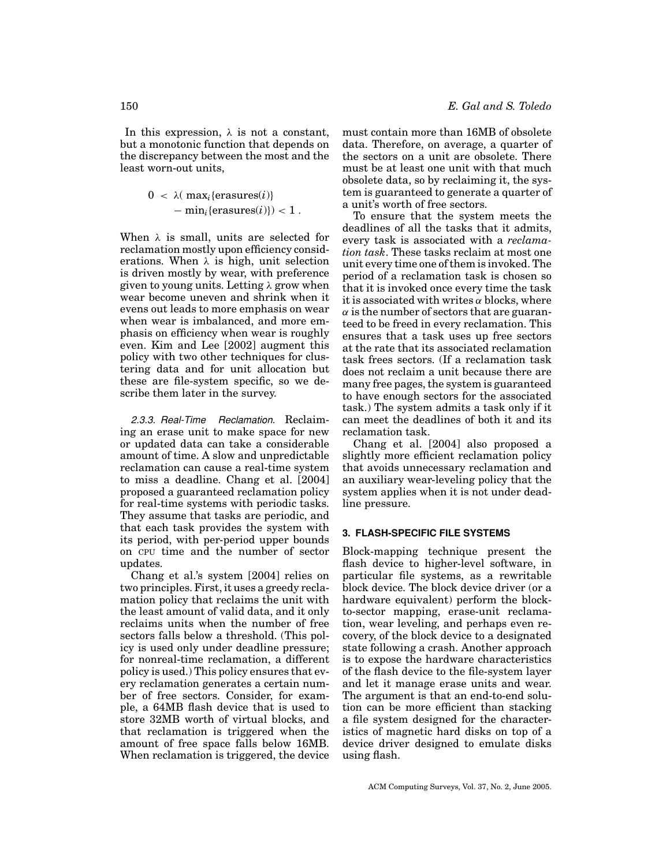In this expression,  $\lambda$  is not a constant, but a monotonic function that depends on the discrepancy between the most and the least worn-out units,

$$
0 < \lambda(\max_i\{\text{erasures}(i)\} - \min_i\{\text{erasures}(i)\}) < 1.
$$

When  $\lambda$  is small, units are selected for reclamation mostly upon efficiency considerations. When  $\lambda$  is high, unit selection is driven mostly by wear, with preference given to young units. Letting  $\lambda$  grow when wear become uneven and shrink when it evens out leads to more emphasis on wear when wear is imbalanced, and more emphasis on efficiency when wear is roughly even. Kim and Lee [2002] augment this policy with two other techniques for clustering data and for unit allocation but these are file-system specific, so we describe them later in the survey.

*2.3.3. Real-Time Reclamation.* Reclaiming an erase unit to make space for new or updated data can take a considerable amount of time. A slow and unpredictable reclamation can cause a real-time system to miss a deadline. Chang et al. [2004] proposed a guaranteed reclamation policy for real-time systems with periodic tasks. They assume that tasks are periodic, and that each task provides the system with its period, with per-period upper bounds on CPU time and the number of sector updates.

Chang et al.'s system [2004] relies on two principles. First, it uses a greedy reclamation policy that reclaims the unit with the least amount of valid data, and it only reclaims units when the number of free sectors falls below a threshold. (This policy is used only under deadline pressure; for nonreal-time reclamation, a different policy is used.) This policy ensures that every reclamation generates a certain number of free sectors. Consider, for example, a 64MB flash device that is used to store 32MB worth of virtual blocks, and that reclamation is triggered when the amount of free space falls below 16MB. When reclamation is triggered, the device must contain more than 16MB of obsolete data. Therefore, on average, a quarter of the sectors on a unit are obsolete. There must be at least one unit with that much obsolete data, so by reclaiming it, the system is guaranteed to generate a quarter of a unit's worth of free sectors.

To ensure that the system meets the deadlines of all the tasks that it admits, every task is associated with a *reclamation task*. These tasks reclaim at most one unit every time one of them is invoked. The period of a reclamation task is chosen so that it is invoked once every time the task it is associated with writes  $\alpha$  blocks, where  $\alpha$  is the number of sectors that are guaranteed to be freed in every reclamation. This ensures that a task uses up free sectors at the rate that its associated reclamation task frees sectors. (If a reclamation task does not reclaim a unit because there are many free pages, the system is guaranteed to have enough sectors for the associated task.) The system admits a task only if it can meet the deadlines of both it and its reclamation task.

Chang et al. [2004] also proposed a slightly more efficient reclamation policy that avoids unnecessary reclamation and an auxiliary wear-leveling policy that the system applies when it is not under deadline pressure.

### **3. FLASH-SPECIFIC FILE SYSTEMS**

Block-mapping technique present the flash device to higher-level software, in particular file systems, as a rewritable block device. The block device driver (or a hardware equivalent) perform the blockto-sector mapping, erase-unit reclamation, wear leveling, and perhaps even recovery, of the block device to a designated state following a crash. Another approach is to expose the hardware characteristics of the flash device to the file-system layer and let it manage erase units and wear. The argument is that an end-to-end solution can be more efficient than stacking a file system designed for the characteristics of magnetic hard disks on top of a device driver designed to emulate disks using flash.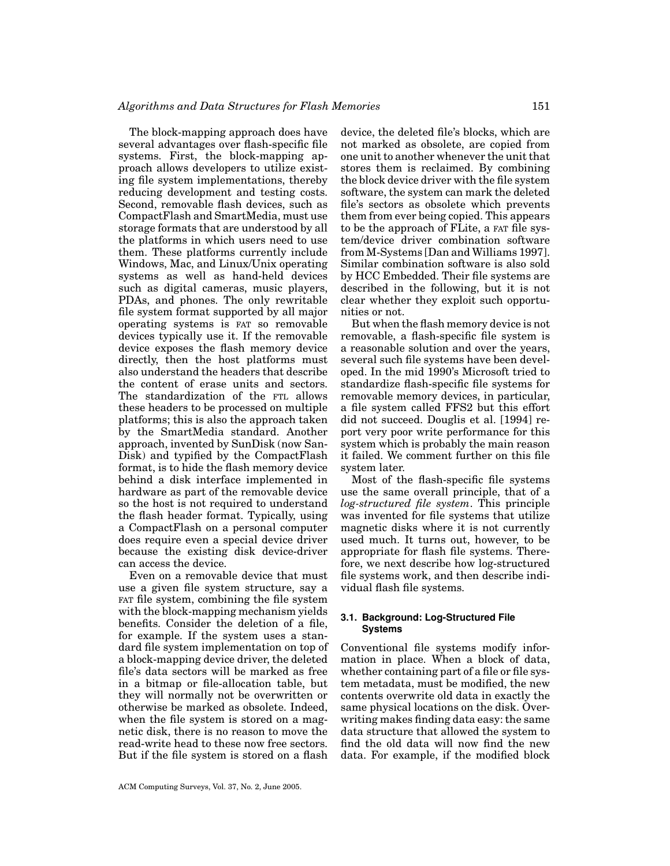The block-mapping approach does have several advantages over flash-specific file systems. First, the block-mapping approach allows developers to utilize existing file system implementations, thereby reducing development and testing costs. Second, removable flash devices, such as CompactFlash and SmartMedia, must use storage formats that are understood by all the platforms in which users need to use them. These platforms currently include Windows, Mac, and Linux/Unix operating systems as well as hand-held devices such as digital cameras, music players, PDAs, and phones. The only rewritable file system format supported by all major operating systems is FAT so removable devices typically use it. If the removable device exposes the flash memory device directly, then the host platforms must also understand the headers that describe the content of erase units and sectors. The standardization of the FTL allows these headers to be processed on multiple platforms; this is also the approach taken by the SmartMedia standard. Another approach, invented by SunDisk (now San-Disk) and typified by the CompactFlash format, is to hide the flash memory device behind a disk interface implemented in hardware as part of the removable device so the host is not required to understand the flash header format. Typically, using a CompactFlash on a personal computer does require even a special device driver because the existing disk device-driver can access the device.

Even on a removable device that must use a given file system structure, say a FAT file system, combining the file system with the block-mapping mechanism yields benefits. Consider the deletion of a file, for example. If the system uses a standard file system implementation on top of a block-mapping device driver, the deleted file's data sectors will be marked as free in a bitmap or file-allocation table, but they will normally not be overwritten or otherwise be marked as obsolete. Indeed, when the file system is stored on a magnetic disk, there is no reason to move the read-write head to these now free sectors. But if the file system is stored on a flash

device, the deleted file's blocks, which are not marked as obsolete, are copied from one unit to another whenever the unit that stores them is reclaimed. By combining the block device driver with the file system software, the system can mark the deleted file's sectors as obsolete which prevents them from ever being copied. This appears to be the approach of FLite, a FAT file system/device driver combination software from M-Systems [Dan and Williams 1997]. Similar combination software is also sold by HCC Embedded. Their file systems are described in the following, but it is not clear whether they exploit such opportunities or not.

But when the flash memory device is not removable, a flash-specific file system is a reasonable solution and over the years, several such file systems have been developed. In the mid 1990's Microsoft tried to standardize flash-specific file systems for removable memory devices, in particular, a file system called FFS2 but this effort did not succeed. Douglis et al. [1994] report very poor write performance for this system which is probably the main reason it failed. We comment further on this file system later.

Most of the flash-specific file systems use the same overall principle, that of a *log-structured file system*. This principle was invented for file systems that utilize magnetic disks where it is not currently used much. It turns out, however, to be appropriate for flash file systems. Therefore, we next describe how log-structured file systems work, and then describe individual flash file systems.

### **3.1. Background: Log-Structured File Systems**

Conventional file systems modify information in place. When a block of data, whether containing part of a file or file system metadata, must be modified, the new contents overwrite old data in exactly the same physical locations on the disk. Overwriting makes finding data easy: the same data structure that allowed the system to find the old data will now find the new data. For example, if the modified block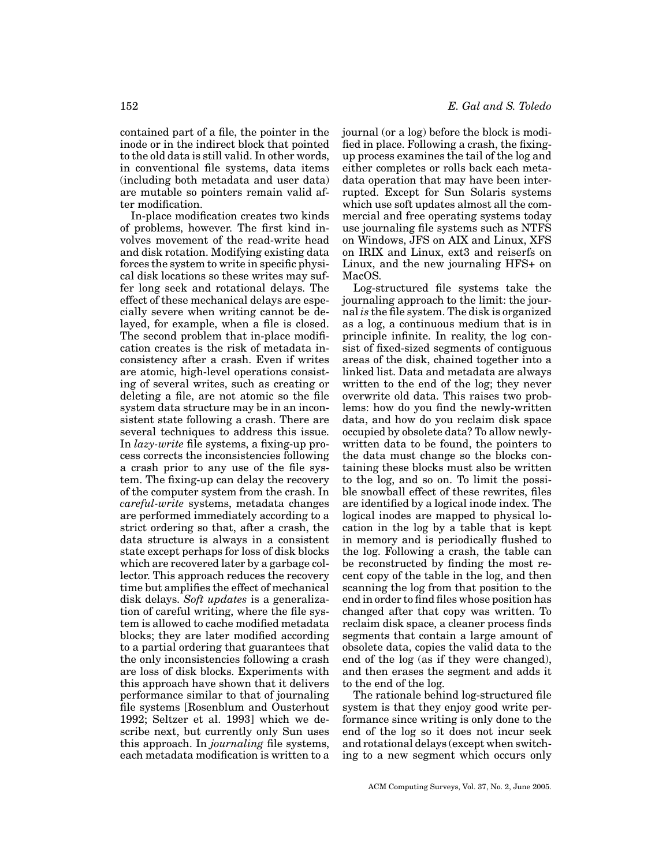contained part of a file, the pointer in the inode or in the indirect block that pointed to the old data is still valid. In other words, in conventional file systems, data items (including both metadata and user data) are mutable so pointers remain valid after modification.

In-place modification creates two kinds of problems, however. The first kind involves movement of the read-write head and disk rotation. Modifying existing data forces the system to write in specific physical disk locations so these writes may suffer long seek and rotational delays. The effect of these mechanical delays are especially severe when writing cannot be delayed, for example, when a file is closed. The second problem that in-place modification creates is the risk of metadata inconsistency after a crash. Even if writes are atomic, high-level operations consisting of several writes, such as creating or deleting a file, are not atomic so the file system data structure may be in an inconsistent state following a crash. There are several techniques to address this issue. In *lazy-write* file systems, a fixing-up process corrects the inconsistencies following a crash prior to any use of the file system. The fixing-up can delay the recovery of the computer system from the crash. In *careful-write* systems, metadata changes are performed immediately according to a strict ordering so that, after a crash, the data structure is always in a consistent state except perhaps for loss of disk blocks which are recovered later by a garbage collector. This approach reduces the recovery time but amplifies the effect of mechanical disk delays. *Soft updates* is a generalization of careful writing, where the file system is allowed to cache modified metadata blocks; they are later modified according to a partial ordering that guarantees that the only inconsistencies following a crash are loss of disk blocks. Experiments with this approach have shown that it delivers performance similar to that of journaling file systems [Rosenblum and Ousterhout 1992; Seltzer et al. 1993] which we describe next, but currently only Sun uses this approach. In *journaling* file systems, each metadata modification is written to a journal (or a log) before the block is modified in place. Following a crash, the fixingup process examines the tail of the log and either completes or rolls back each metadata operation that may have been interrupted. Except for Sun Solaris systems which use soft updates almost all the commercial and free operating systems today use journaling file systems such as NTFS on Windows, JFS on AIX and Linux, XFS on IRIX and Linux, ext3 and reiserfs on Linux, and the new journaling HFS+ on MacOS.

Log-structured file systems take the journaling approach to the limit: the journal *is* the file system. The disk is organized as a log, a continuous medium that is in principle infinite. In reality, the log consist of fixed-sized segments of contiguous areas of the disk, chained together into a linked list. Data and metadata are always written to the end of the log; they never overwrite old data. This raises two problems: how do you find the newly-written data, and how do you reclaim disk space occupied by obsolete data? To allow newlywritten data to be found, the pointers to the data must change so the blocks containing these blocks must also be written to the log, and so on. To limit the possible snowball effect of these rewrites, files are identified by a logical inode index. The logical inodes are mapped to physical location in the log by a table that is kept in memory and is periodically flushed to the log. Following a crash, the table can be reconstructed by finding the most recent copy of the table in the log, and then scanning the log from that position to the end in order to find files whose position has changed after that copy was written. To reclaim disk space, a cleaner process finds segments that contain a large amount of obsolete data, copies the valid data to the end of the log (as if they were changed), and then erases the segment and adds it to the end of the log.

The rationale behind log-structured file system is that they enjoy good write performance since writing is only done to the end of the log so it does not incur seek and rotational delays (except when switching to a new segment which occurs only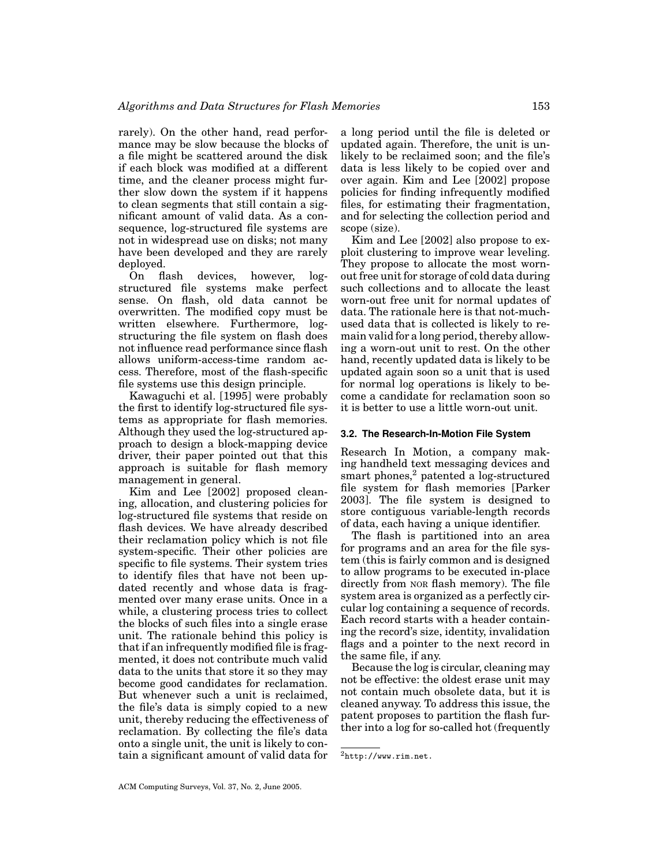rarely). On the other hand, read performance may be slow because the blocks of a file might be scattered around the disk if each block was modified at a different time, and the cleaner process might further slow down the system if it happens to clean segments that still contain a significant amount of valid data. As a consequence, log-structured file systems are not in widespread use on disks; not many have been developed and they are rarely deployed.

On flash devices, however, logstructured file systems make perfect sense. On flash, old data cannot be overwritten. The modified copy must be written elsewhere. Furthermore, logstructuring the file system on flash does not influence read performance since flash allows uniform-access-time random access. Therefore, most of the flash-specific file systems use this design principle.

Kawaguchi et al. [1995] were probably the first to identify log-structured file systems as appropriate for flash memories. Although they used the log-structured approach to design a block-mapping device driver, their paper pointed out that this approach is suitable for flash memory management in general.

Kim and Lee [2002] proposed cleaning, allocation, and clustering policies for log-structured file systems that reside on flash devices. We have already described their reclamation policy which is not file system-specific. Their other policies are specific to file systems. Their system tries to identify files that have not been updated recently and whose data is fragmented over many erase units. Once in a while, a clustering process tries to collect the blocks of such files into a single erase unit. The rationale behind this policy is that if an infrequently modified file is fragmented, it does not contribute much valid data to the units that store it so they may become good candidates for reclamation. But whenever such a unit is reclaimed, the file's data is simply copied to a new unit, thereby reducing the effectiveness of reclamation. By collecting the file's data onto a single unit, the unit is likely to contain a significant amount of valid data for

a long period until the file is deleted or updated again. Therefore, the unit is unlikely to be reclaimed soon; and the file's data is less likely to be copied over and over again. Kim and Lee [2002] propose policies for finding infrequently modified files, for estimating their fragmentation, and for selecting the collection period and scope (size).

Kim and Lee [2002] also propose to exploit clustering to improve wear leveling. They propose to allocate the most wornout free unit for storage of cold data during such collections and to allocate the least worn-out free unit for normal updates of data. The rationale here is that not-muchused data that is collected is likely to remain valid for a long period, thereby allowing a worn-out unit to rest. On the other hand, recently updated data is likely to be updated again soon so a unit that is used for normal log operations is likely to become a candidate for reclamation soon so it is better to use a little worn-out unit.

#### **3.2. The Research-In-Motion File System**

Research In Motion, a company making handheld text messaging devices and smart phones,<sup>2</sup> patented a log-structured file system for flash memories [Parker 2003]. The file system is designed to store contiguous variable-length records of data, each having a unique identifier.

The flash is partitioned into an area for programs and an area for the file system (this is fairly common and is designed to allow programs to be executed in-place directly from NOR flash memory). The file system area is organized as a perfectly circular log containing a sequence of records. Each record starts with a header containing the record's size, identity, invalidation flags and a pointer to the next record in the same file, if any.

Because the log is circular, cleaning may not be effective: the oldest erase unit may not contain much obsolete data, but it is cleaned anyway. To address this issue, the patent proposes to partition the flash further into a log for so-called hot (frequently

 $^{2}$ http://www.rim.net.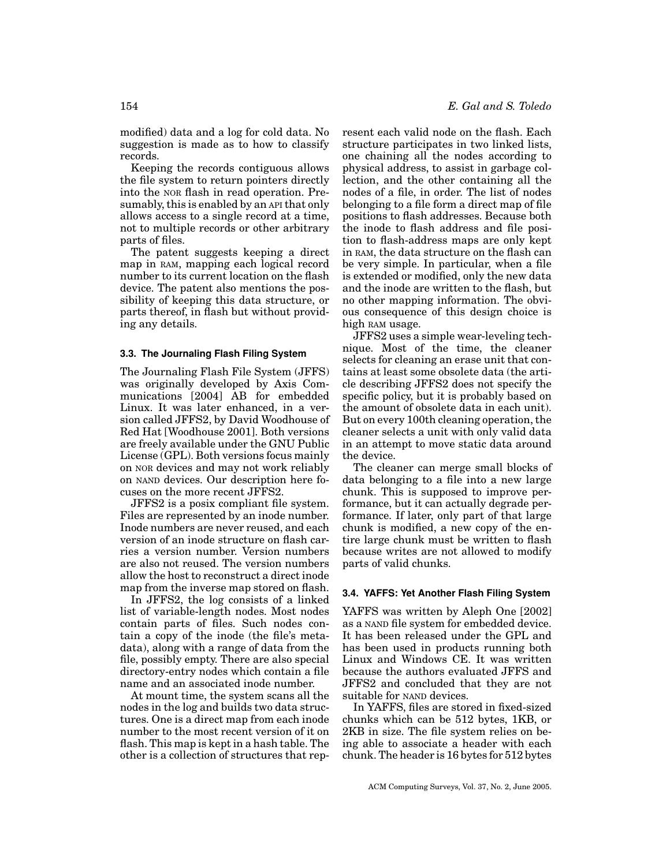modified) data and a log for cold data. No suggestion is made as to how to classify records.

Keeping the records contiguous allows the file system to return pointers directly into the NOR flash in read operation. Presumably, this is enabled by an API that only allows access to a single record at a time, not to multiple records or other arbitrary parts of files.

The patent suggests keeping a direct map in RAM, mapping each logical record number to its current location on the flash device. The patent also mentions the possibility of keeping this data structure, or parts thereof, in flash but without providing any details.

#### **3.3. The Journaling Flash Filing System**

The Journaling Flash File System (JFFS) was originally developed by Axis Communications [2004] AB for embedded Linux. It was later enhanced, in a version called JFFS2, by David Woodhouse of Red Hat [Woodhouse 2001]. Both versions are freely available under the GNU Public License (GPL). Both versions focus mainly on NOR devices and may not work reliably on NAND devices. Our description here focuses on the more recent JFFS2.

JFFS2 is a posix compliant file system. Files are represented by an inode number. Inode numbers are never reused, and each version of an inode structure on flash carries a version number. Version numbers are also not reused. The version numbers allow the host to reconstruct a direct inode map from the inverse map stored on flash.

In JFFS2, the log consists of a linked list of variable-length nodes. Most nodes contain parts of files. Such nodes contain a copy of the inode (the file's metadata), along with a range of data from the file, possibly empty. There are also special directory-entry nodes which contain a file name and an associated inode number.

At mount time, the system scans all the nodes in the log and builds two data structures. One is a direct map from each inode number to the most recent version of it on flash. This map is kept in a hash table. The other is a collection of structures that represent each valid node on the flash. Each structure participates in two linked lists, one chaining all the nodes according to physical address, to assist in garbage collection, and the other containing all the nodes of a file, in order. The list of nodes belonging to a file form a direct map of file positions to flash addresses. Because both the inode to flash address and file position to flash-address maps are only kept in RAM, the data structure on the flash can be very simple. In particular, when a file is extended or modified, only the new data and the inode are written to the flash, but no other mapping information. The obvious consequence of this design choice is high RAM usage.

JFFS2 uses a simple wear-leveling technique. Most of the time, the cleaner selects for cleaning an erase unit that contains at least some obsolete data (the article describing JFFS2 does not specify the specific policy, but it is probably based on the amount of obsolete data in each unit). But on every 100th cleaning operation, the cleaner selects a unit with only valid data in an attempt to move static data around the device.

The cleaner can merge small blocks of data belonging to a file into a new large chunk. This is supposed to improve performance, but it can actually degrade performance. If later, only part of that large chunk is modified, a new copy of the entire large chunk must be written to flash because writes are not allowed to modify parts of valid chunks.

#### **3.4. YAFFS: Yet Another Flash Filing System**

YAFFS was written by Aleph One [2002] as a NAND file system for embedded device. It has been released under the GPL and has been used in products running both Linux and Windows CE. It was written because the authors evaluated JFFS and JFFS2 and concluded that they are not suitable for NAND devices.

In YAFFS, files are stored in fixed-sized chunks which can be 512 bytes, 1KB, or 2KB in size. The file system relies on being able to associate a header with each chunk. The header is 16 bytes for 512 bytes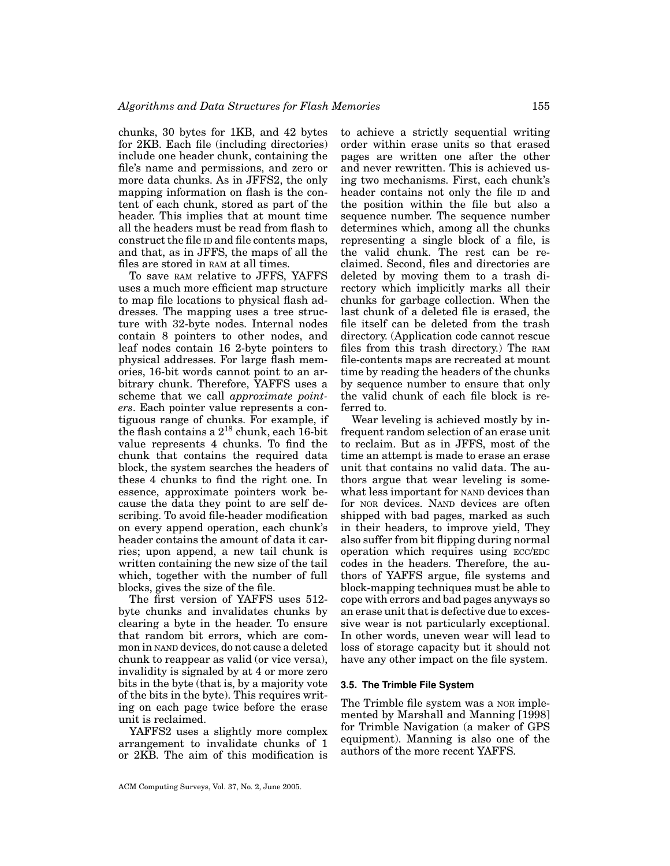chunks, 30 bytes for 1KB, and 42 bytes for 2KB. Each file (including directories) include one header chunk, containing the file's name and permissions, and zero or more data chunks. As in JFFS2, the only mapping information on flash is the content of each chunk, stored as part of the header. This implies that at mount time all the headers must be read from flash to construct the file ID and file contents maps, and that, as in JFFS, the maps of all the files are stored in RAM at all times.

To save RAM relative to JFFS, YAFFS uses a much more efficient map structure to map file locations to physical flash addresses. The mapping uses a tree structure with 32-byte nodes. Internal nodes contain 8 pointers to other nodes, and leaf nodes contain 16 2-byte pointers to physical addresses. For large flash memories, 16-bit words cannot point to an arbitrary chunk. Therefore, YAFFS uses a scheme that we call *approximate pointers*. Each pointer value represents a contiguous range of chunks. For example, if the flash contains a  $2^{18}$  chunk, each 16-bit value represents 4 chunks. To find the chunk that contains the required data block, the system searches the headers of these 4 chunks to find the right one. In essence, approximate pointers work because the data they point to are self describing. To avoid file-header modification on every append operation, each chunk's header contains the amount of data it carries; upon append, a new tail chunk is written containing the new size of the tail which, together with the number of full blocks, gives the size of the file.

The first version of YAFFS uses 512 byte chunks and invalidates chunks by clearing a byte in the header. To ensure that random bit errors, which are common in NAND devices, do not cause a deleted chunk to reappear as valid (or vice versa), invalidity is signaled by at 4 or more zero bits in the byte (that is, by a majority vote of the bits in the byte). This requires writing on each page twice before the erase unit is reclaimed.

YAFFS2 uses a slightly more complex arrangement to invalidate chunks of 1 or 2KB. The aim of this modification is

to achieve a strictly sequential writing order within erase units so that erased pages are written one after the other and never rewritten. This is achieved using two mechanisms. First, each chunk's header contains not only the file ID and the position within the file but also a sequence number. The sequence number determines which, among all the chunks representing a single block of a file, is the valid chunk. The rest can be reclaimed. Second, files and directories are deleted by moving them to a trash directory which implicitly marks all their chunks for garbage collection. When the last chunk of a deleted file is erased, the file itself can be deleted from the trash directory. (Application code cannot rescue files from this trash directory.) The RAM file-contents maps are recreated at mount time by reading the headers of the chunks by sequence number to ensure that only the valid chunk of each file block is referred to.

Wear leveling is achieved mostly by infrequent random selection of an erase unit to reclaim. But as in JFFS, most of the time an attempt is made to erase an erase unit that contains no valid data. The authors argue that wear leveling is somewhat less important for NAND devices than for NOR devices. NAND devices are often shipped with bad pages, marked as such in their headers, to improve yield, They also suffer from bit flipping during normal operation which requires using ECC/EDC codes in the headers. Therefore, the authors of YAFFS argue, file systems and block-mapping techniques must be able to cope with errors and bad pages anyways so an erase unit that is defective due to excessive wear is not particularly exceptional. In other words, uneven wear will lead to loss of storage capacity but it should not have any other impact on the file system.

### **3.5. The Trimble File System**

The Trimble file system was a NOR implemented by Marshall and Manning [1998] for Trimble Navigation (a maker of GPS equipment). Manning is also one of the authors of the more recent YAFFS.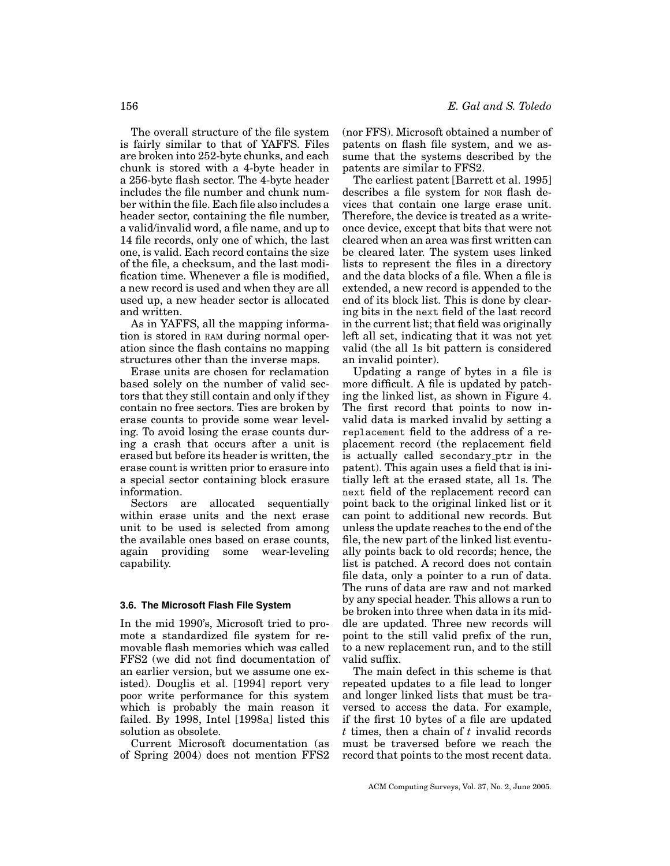The overall structure of the file system is fairly similar to that of YAFFS. Files are broken into 252-byte chunks, and each chunk is stored with a 4-byte header in a 256-byte flash sector. The 4-byte header includes the file number and chunk number within the file. Each file also includes a header sector, containing the file number, a valid/invalid word, a file name, and up to 14 file records, only one of which, the last one, is valid. Each record contains the size of the file, a checksum, and the last modification time. Whenever a file is modified, a new record is used and when they are all used up, a new header sector is allocated and written.

As in YAFFS, all the mapping information is stored in RAM during normal operation since the flash contains no mapping structures other than the inverse maps.

Erase units are chosen for reclamation based solely on the number of valid sectors that they still contain and only if they contain no free sectors. Ties are broken by erase counts to provide some wear leveling. To avoid losing the erase counts during a crash that occurs after a unit is erased but before its header is written, the erase count is written prior to erasure into a special sector containing block erasure information.

Sectors are allocated sequentially within erase units and the next erase unit to be used is selected from among the available ones based on erase counts, again providing some wear-leveling capability.

### **3.6. The Microsoft Flash File System**

In the mid 1990's, Microsoft tried to promote a standardized file system for removable flash memories which was called FFS2 (we did not find documentation of an earlier version, but we assume one existed). Douglis et al. [1994] report very poor write performance for this system which is probably the main reason it failed. By 1998, Intel [1998a] listed this solution as obsolete.

Current Microsoft documentation (as of Spring 2004) does not mention FFS2

(nor FFS). Microsoft obtained a number of patents on flash file system, and we assume that the systems described by the patents are similar to FFS2.

The earliest patent [Barrett et al. 1995] describes a file system for NOR flash devices that contain one large erase unit. Therefore, the device is treated as a writeonce device, except that bits that were not cleared when an area was first written can be cleared later. The system uses linked lists to represent the files in a directory and the data blocks of a file. When a file is extended, a new record is appended to the end of its block list. This is done by clearing bits in the next field of the last record in the current list; that field was originally left all set, indicating that it was not yet valid (the all 1s bit pattern is considered an invalid pointer).

Updating a range of bytes in a file is more difficult. A file is updated by patching the linked list, as shown in Figure 4. The first record that points to now invalid data is marked invalid by setting a replacement field to the address of a replacement record (the replacement field is actually called secondary ptr in the patent). This again uses a field that is initially left at the erased state, all 1s. The next field of the replacement record can point back to the original linked list or it can point to additional new records. But unless the update reaches to the end of the file, the new part of the linked list eventually points back to old records; hence, the list is patched. A record does not contain file data, only a pointer to a run of data. The runs of data are raw and not marked by any special header. This allows a run to be broken into three when data in its middle are updated. Three new records will point to the still valid prefix of the run, to a new replacement run, and to the still valid suffix.

The main defect in this scheme is that repeated updates to a file lead to longer and longer linked lists that must be traversed to access the data. For example, if the first 10 bytes of a file are updated *t* times, then a chain of *t* invalid records must be traversed before we reach the record that points to the most recent data.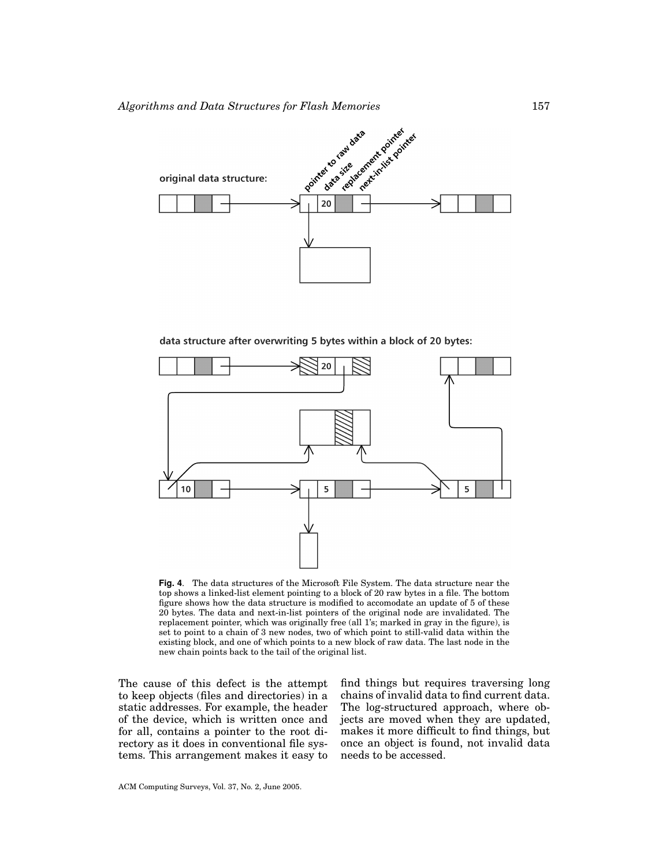

data structure after overwriting 5 bytes within a block of 20 bytes:



**Fig. 4**. The data structures of the Microsoft File System. The data structure near the top shows a linked-list element pointing to a block of 20 raw bytes in a file. The bottom figure shows how the data structure is modified to accomodate an update of 5 of these 20 bytes. The data and next-in-list pointers of the original node are invalidated. The replacement pointer, which was originally free (all 1's; marked in gray in the figure), is set to point to a chain of 3 new nodes, two of which point to still-valid data within the existing block, and one of which points to a new block of raw data. The last node in the new chain points back to the tail of the original list.

The cause of this defect is the attempt to keep objects (files and directories) in a static addresses. For example, the header of the device, which is written once and for all, contains a pointer to the root directory as it does in conventional file systems. This arrangement makes it easy to

find things but requires traversing long chains of invalid data to find current data. The log-structured approach, where objects are moved when they are updated, makes it more difficult to find things, but once an object is found, not invalid data needs to be accessed.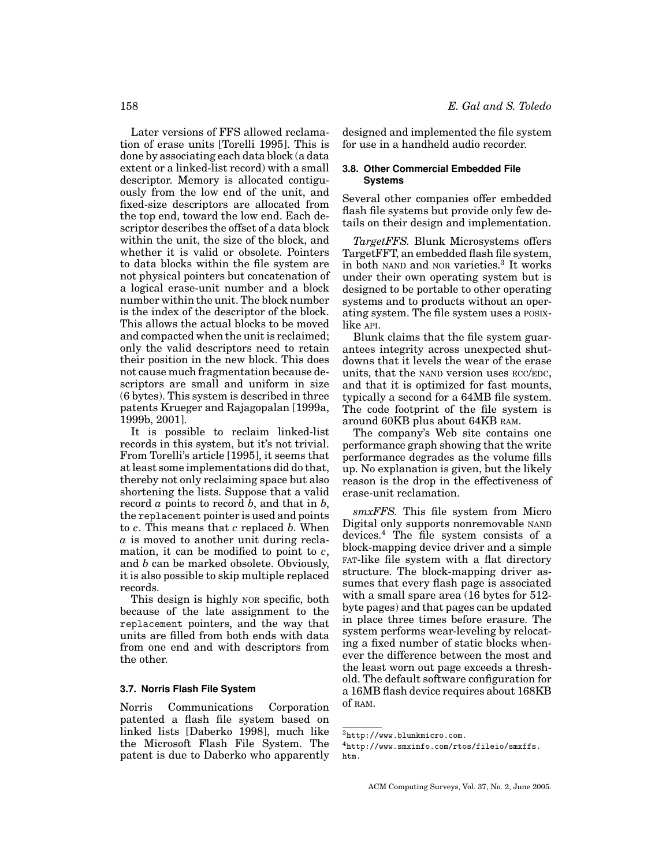Later versions of FFS allowed reclamation of erase units [Torelli 1995]. This is done by associating each data block (a data extent or a linked-list record) with a small descriptor. Memory is allocated contiguously from the low end of the unit, and fixed-size descriptors are allocated from the top end, toward the low end. Each descriptor describes the offset of a data block within the unit, the size of the block, and whether it is valid or obsolete. Pointers to data blocks within the file system are not physical pointers but concatenation of a logical erase-unit number and a block number within the unit. The block number is the index of the descriptor of the block. This allows the actual blocks to be moved and compacted when the unit is reclaimed; only the valid descriptors need to retain their position in the new block. This does not cause much fragmentation because descriptors are small and uniform in size (6 bytes). This system is described in three patents Krueger and Rajagopalan [1999a, 1999b, 2001].

It is possible to reclaim linked-list records in this system, but it's not trivial. From Torelli's article [1995], it seems that at least some implementations did do that, thereby not only reclaiming space but also shortening the lists. Suppose that a valid record *a* points to record *b*, and that in *b*, the replacement pointer is used and points to *c*. This means that *c* replaced *b*. When *a* is moved to another unit during reclamation, it can be modified to point to *c*, and *b* can be marked obsolete. Obviously, it is also possible to skip multiple replaced records.

This design is highly NOR specific, both because of the late assignment to the replacement pointers, and the way that units are filled from both ends with data from one end and with descriptors from the other.

### **3.7. Norris Flash File System**

Norris Communications Corporation patented a flash file system based on linked lists [Daberko 1998], much like the Microsoft Flash File System. The patent is due to Daberko who apparently

designed and implemented the file system for use in a handheld audio recorder.

### **3.8. Other Commercial Embedded File Systems**

Several other companies offer embedded flash file systems but provide only few details on their design and implementation.

*TargetFFS.* Blunk Microsystems offers TargetFFT, an embedded flash file system, in both NAND and NOR varieties.<sup>3</sup> It works under their own operating system but is designed to be portable to other operating systems and to products without an operating system. The file system uses a POSIXlike API.

Blunk claims that the file system guarantees integrity across unexpected shutdowns that it levels the wear of the erase units, that the NAND version uses ECC/EDC, and that it is optimized for fast mounts, typically a second for a 64MB file system. The code footprint of the file system is around 60KB plus about 64KB RAM.

The company's Web site contains one performance graph showing that the write performance degrades as the volume fills up. No explanation is given, but the likely reason is the drop in the effectiveness of erase-unit reclamation.

*smxFFS.* This file system from Micro Digital only supports nonremovable NAND devices.<sup>4</sup> The file system consists of a block-mapping device driver and a simple FAT-like file system with a flat directory structure. The block-mapping driver assumes that every flash page is associated with a small spare area (16 bytes for 512 byte pages) and that pages can be updated in place three times before erasure. The system performs wear-leveling by relocating a fixed number of static blocks whenever the difference between the most and the least worn out page exceeds a threshold. The default software configuration for a 16MB flash device requires about 168KB of RAM.

<sup>3</sup>http://www.blunkmicro.com.

<sup>4</sup>http://www.smxinfo.com/rtos/fileio/smxffs. htm.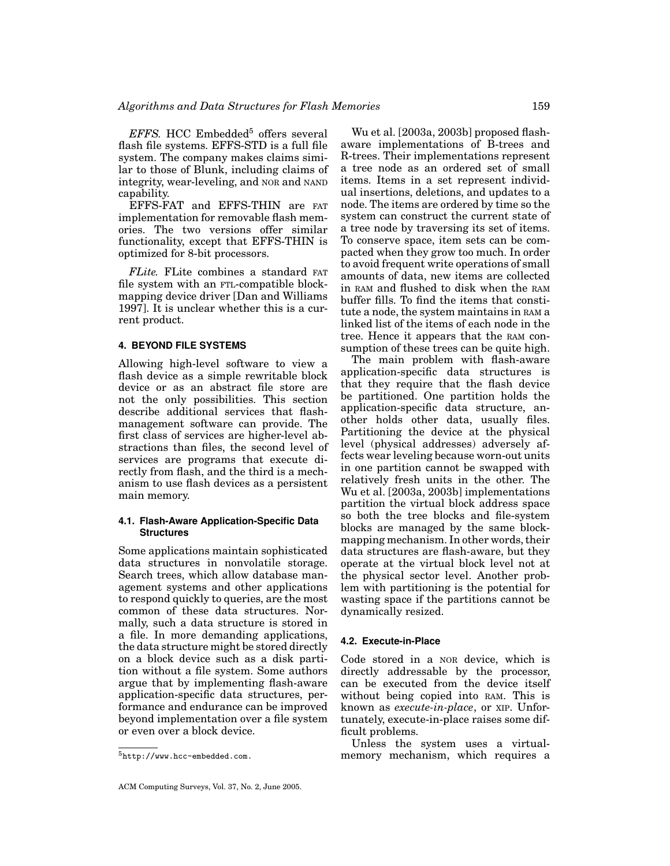*EFFS.* HCC Embedded<sup>5</sup> offers several flash file systems. EFFS-STD is a full file system. The company makes claims similar to those of Blunk, including claims of integrity, wear-leveling, and NOR and NAND capability.

EFFS-FAT and EFFS-THIN are FAT implementation for removable flash memories. The two versions offer similar functionality, except that EFFS-THIN is optimized for 8-bit processors.

*FLite.* FLite combines a standard FAT file system with an FTL-compatible blockmapping device driver [Dan and Williams 1997]. It is unclear whether this is a current product.

## **4. BEYOND FILE SYSTEMS**

Allowing high-level software to view a flash device as a simple rewritable block device or as an abstract file store are not the only possibilities. This section describe additional services that flashmanagement software can provide. The first class of services are higher-level abstractions than files, the second level of services are programs that execute directly from flash, and the third is a mechanism to use flash devices as a persistent main memory.

### **4.1. Flash-Aware Application-Specific Data Structures**

Some applications maintain sophisticated data structures in nonvolatile storage. Search trees, which allow database management systems and other applications to respond quickly to queries, are the most common of these data structures. Normally, such a data structure is stored in a file. In more demanding applications, the data structure might be stored directly on a block device such as a disk partition without a file system. Some authors argue that by implementing flash-aware application-specific data structures, performance and endurance can be improved beyond implementation over a file system or even over a block device.

Wu et al. [2003a, 2003b] proposed flashaware implementations of B-trees and R-trees. Their implementations represent a tree node as an ordered set of small items. Items in a set represent individual insertions, deletions, and updates to a node. The items are ordered by time so the system can construct the current state of a tree node by traversing its set of items. To conserve space, item sets can be compacted when they grow too much. In order to avoid frequent write operations of small amounts of data, new items are collected in RAM and flushed to disk when the RAM buffer fills. To find the items that constitute a node, the system maintains in RAM a linked list of the items of each node in the tree. Hence it appears that the RAM consumption of these trees can be quite high.

The main problem with flash-aware application-specific data structures is that they require that the flash device be partitioned. One partition holds the application-specific data structure, another holds other data, usually files. Partitioning the device at the physical level (physical addresses) adversely affects wear leveling because worn-out units in one partition cannot be swapped with relatively fresh units in the other. The Wu et al. [2003a, 2003b] implementations partition the virtual block address space so both the tree blocks and file-system blocks are managed by the same blockmapping mechanism. In other words, their data structures are flash-aware, but they operate at the virtual block level not at the physical sector level. Another problem with partitioning is the potential for wasting space if the partitions cannot be dynamically resized.

#### **4.2. Execute-in-Place**

Code stored in a NOR device, which is directly addressable by the processor, can be executed from the device itself without being copied into RAM. This is known as *execute-in-place*, or XIP. Unfortunately, execute-in-place raises some difficult problems.

Unless the system uses a virtualmemory mechanism, which requires a

<sup>5</sup>http://www.hcc-embedded.com.

ACM Computing Surveys, Vol. 37, No. 2, June 2005.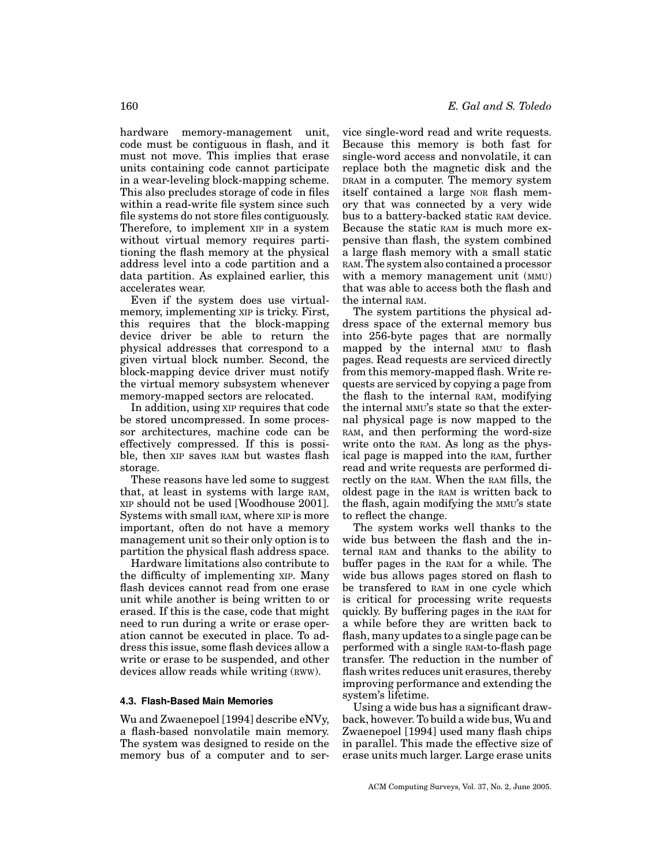hardware memory-management unit, code must be contiguous in flash, and it must not move. This implies that erase units containing code cannot participate in a wear-leveling block-mapping scheme. This also precludes storage of code in files within a read-write file system since such file systems do not store files contiguously. Therefore, to implement XIP in a system without virtual memory requires partitioning the flash memory at the physical address level into a code partition and a data partition. As explained earlier, this accelerates wear.

Even if the system does use virtualmemory, implementing XIP is tricky. First, this requires that the block-mapping device driver be able to return the physical addresses that correspond to a given virtual block number. Second, the block-mapping device driver must notify the virtual memory subsystem whenever memory-mapped sectors are relocated.

In addition, using XIP requires that code be stored uncompressed. In some processor architectures, machine code can be effectively compressed. If this is possible, then XIP saves RAM but wastes flash storage.

These reasons have led some to suggest that, at least in systems with large RAM, XIP should not be used [Woodhouse 2001]. Systems with small RAM, where XIP is more important, often do not have a memory management unit so their only option is to partition the physical flash address space.

Hardware limitations also contribute to the difficulty of implementing XIP. Many flash devices cannot read from one erase unit while another is being written to or erased. If this is the case, code that might need to run during a write or erase operation cannot be executed in place. To address this issue, some flash devices allow a write or erase to be suspended, and other devices allow reads while writing (RWW).

### **4.3. Flash-Based Main Memories**

Wu and Zwaenepoel [1994] describe eNVy, a flash-based nonvolatile main memory. The system was designed to reside on the memory bus of a computer and to service single-word read and write requests. Because this memory is both fast for single-word access and nonvolatile, it can replace both the magnetic disk and the DRAM in a computer. The memory system itself contained a large NOR flash memory that was connected by a very wide bus to a battery-backed static RAM device. Because the static RAM is much more expensive than flash, the system combined a large flash memory with a small static RAM. The system also contained a processor with a memory management unit  $(MMU)$ that was able to access both the flash and the internal RAM.

The system partitions the physical address space of the external memory bus into 256-byte pages that are normally mapped by the internal MMU to flash pages. Read requests are serviced directly from this memory-mapped flash. Write requests are serviced by copying a page from the flash to the internal RAM, modifying the internal MMU's state so that the external physical page is now mapped to the RAM, and then performing the word-size write onto the RAM. As long as the physical page is mapped into the RAM, further read and write requests are performed directly on the RAM. When the RAM fills, the oldest page in the RAM is written back to the flash, again modifying the MMU's state to reflect the change.

The system works well thanks to the wide bus between the flash and the internal RAM and thanks to the ability to buffer pages in the RAM for a while. The wide bus allows pages stored on flash to be transfered to RAM in one cycle which is critical for processing write requests quickly. By buffering pages in the RAM for a while before they are written back to flash, many updates to a single page can be performed with a single RAM-to-flash page transfer. The reduction in the number of flash writes reduces unit erasures, thereby improving performance and extending the system's lifetime.

Using a wide bus has a significant drawback, however. To build a wide bus, Wu and Zwaenepoel [1994] used many flash chips in parallel. This made the effective size of erase units much larger. Large erase units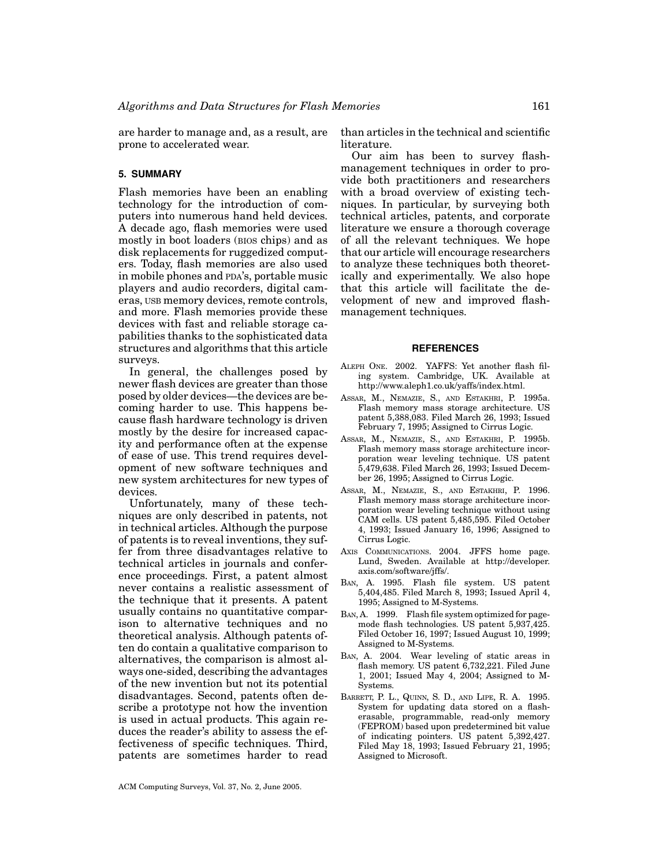are harder to manage and, as a result, are prone to accelerated wear.

### **5. SUMMARY**

Flash memories have been an enabling technology for the introduction of computers into numerous hand held devices. A decade ago, flash memories were used mostly in boot loaders (BIOS chips) and as disk replacements for ruggedized computers. Today, flash memories are also used in mobile phones and PDA's, portable music players and audio recorders, digital cameras, USB memory devices, remote controls, and more. Flash memories provide these devices with fast and reliable storage capabilities thanks to the sophisticated data structures and algorithms that this article surveys.

In general, the challenges posed by newer flash devices are greater than those posed by older devices—the devices are becoming harder to use. This happens because flash hardware technology is driven mostly by the desire for increased capacity and performance often at the expense of ease of use. This trend requires development of new software techniques and new system architectures for new types of devices.

Unfortunately, many of these techniques are only described in patents, not in technical articles. Although the purpose of patents is to reveal inventions, they suffer from three disadvantages relative to technical articles in journals and conference proceedings. First, a patent almost never contains a realistic assessment of the technique that it presents. A patent usually contains no quantitative comparison to alternative techniques and no theoretical analysis. Although patents often do contain a qualitative comparison to alternatives, the comparison is almost always one-sided, describing the advantages of the new invention but not its potential disadvantages. Second, patents often describe a prototype not how the invention is used in actual products. This again reduces the reader's ability to assess the effectiveness of specific techniques. Third, patents are sometimes harder to read

Our aim has been to survey flashmanagement techniques in order to pro-

literature.

vide both practitioners and researchers with a broad overview of existing techniques. In particular, by surveying both technical articles, patents, and corporate literature we ensure a thorough coverage of all the relevant techniques. We hope that our article will encourage researchers to analyze these techniques both theoretically and experimentally. We also hope that this article will facilitate the development of new and improved flashmanagement techniques.

than articles in the technical and scientific

#### **REFERENCES**

- ALEPH ONE. 2002. YAFFS: Yet another flash filing system. Cambridge, UK. Available at http://www.aleph1.co.uk/yaffs/index.html.
- ASSAR, M., NEMAZIE, S., AND ESTAKHRI, P. 1995a. Flash memory mass storage architecture. US patent 5,388,083. Filed March 26, 1993; Issued February 7, 1995; Assigned to Cirrus Logic.
- ASSAR, M., NEMAZIE, S., AND ESTAKHRI, P. 1995b. Flash memory mass storage architecture incorporation wear leveling technique. US patent 5,479,638. Filed March 26, 1993; Issued December 26, 1995; Assigned to Cirrus Logic.
- ASSAR, M., NEMAZIE, S., AND ESTAKHRI, P. 1996. Flash memory mass storage architecture incorporation wear leveling technique without using CAM cells. US patent 5,485,595. Filed October 4, 1993; Issued January 16, 1996; Assigned to Cirrus Logic.
- AXIS COMMUNICATIONS. 2004. JFFS home page. Lund, Sweden. Available at http://developer. axis.com/software/jffs/.
- BAN, A. 1995. Flash file system. US patent 5,404,485. Filed March 8, 1993; Issued April 4, 1995; Assigned to M-Systems.
- BAN, A. 1999. Flash file system optimized for pagemode flash technologies. US patent 5,937,425. Filed October 16, 1997; Issued August 10, 1999; Assigned to M-Systems.
- BAN, A. 2004. Wear leveling of static areas in flash memory. US patent 6,732,221. Filed June 1, 2001; Issued May 4, 2004; Assigned to M-Systems.
- BARRETT, P. L., QUINN, S. D., AND LIPE, R. A. 1995. System for updating data stored on a flasherasable, programmable, read-only memory (FEPROM) based upon predetermined bit value of indicating pointers. US patent 5,392,427. Filed May 18, 1993; Issued February 21, 1995; Assigned to Microsoft.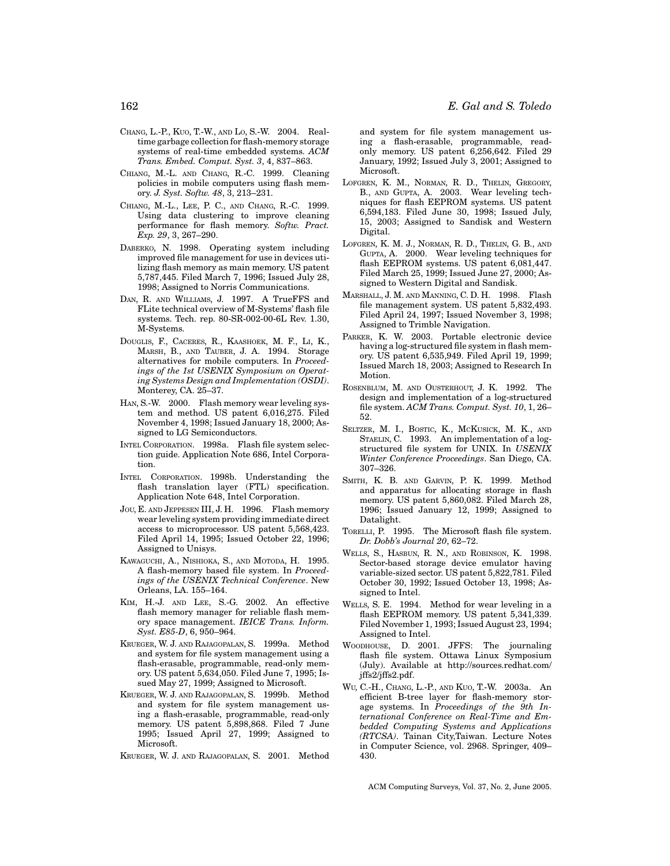- CHANG, L.-P., KUO, T.-W., AND LO, S.-W. 2004. Realtime garbage collection for flash-memory storage systems of real-time embedded systems. *ACM Trans. Embed. Comput. Syst. 3*, 4, 837–863.
- CHIANG, M.-L. AND CHANG, R.-C. 1999. Cleaning policies in mobile computers using flash memory. *J. Syst. Softw. 48*, 3, 213–231.
- CHIANG, M.-L., LEE, P. C., AND CHANG, R.-C. 1999. Using data clustering to improve cleaning performance for flash memory. *Softw. Pract. Exp. 29*, 3, 267–290.
- DABERKO, N. 1998. Operating system including improved file management for use in devices utilizing flash memory as main memory. US patent 5,787,445. Filed March 7, 1996; Issued July 28, 1998; Assigned to Norris Communications.
- DAN, R. AND WILLIAMS, J. 1997. A TrueFFS and FLite technical overview of M-Systems' flash file systems. Tech. rep. 80-SR-002-00-6L Rev. 1.30, M-Systems.
- DOUGLIS, F., CACERES, R., KAASHOEK, M. F., LI, K., MARSH, B., AND TAUBER, J. A. 1994. Storage alternatives for mobile computers. In *Proceedings of the 1st USENIX Symposium on Operating Systems Design and Implementation (OSDI)*. Monterey, CA. 25–37.
- HAN, S.-W. 2000. Flash memory wear leveling system and method. US patent 6,016,275. Filed November 4, 1998; Issued January 18, 2000; Assigned to LG Semiconductors.
- INTEL CORPORATION. 1998a. Flash file system selection guide. Application Note 686, Intel Corporation.
- INTEL CORPORATION. 1998b. Understanding the flash translation layer (FTL) specification. Application Note 648, Intel Corporation.
- JOU, E. AND JEPPESEN III, J. H. 1996. Flash memory wear leveling system providing immediate direct access to microprocessor. US patent 5,568,423. Filed April 14, 1995; Issued October 22, 1996; Assigned to Unisys.
- KAWAGUCHI, A., NISHIOKA, S., AND MOTODA, H. 1995. A flash-memory based file system. In *Proceedings of the USENIX Technical Conference*. New Orleans, LA. 155–164.
- KIM, H.-J. AND LEE, S.-G. 2002. An effective flash memory manager for reliable flash memory space management. *IEICE Trans. Inform. Syst. E85-D*, 6, 950–964.
- KRUEGER, W. J. AND RAJAGOPALAN, S. 1999a. Method and system for file system management using a flash-erasable, programmable, read-only memory. US patent 5,634,050. Filed June 7, 1995; Issued May 27, 1999; Assigned to Microsoft.
- KRUEGER, W. J. AND RAJAGOPALAN, S. 1999b. Method and system for file system management using a flash-erasable, programmable, read-only memory. US patent 5,898,868. Filed 7 June 1995; Issued April 27, 1999; Assigned to Microsoft.
- KRUEGER, W. J. AND RAJAGOPALAN, S. 2001. Method

and system for file system management using a flash-erasable, programmable, readonly memory. US patent 6,256,642. Filed 29 January, 1992; Issued July 3, 2001; Assigned to Microsoft.

- LOFGREN, K. M., NORMAN, R. D., THELIN, GREGORY, B., AND GUPTA, A. 2003. Wear leveling techniques for flash EEPROM systems. US patent 6,594,183. Filed June 30, 1998; Issued July, 15, 2003; Assigned to Sandisk and Western Digital.
- LOFGREN, K. M. J., NORMAN, R. D., THELIN, G. B., AND GUPTA, A. 2000. Wear leveling techniques for flash EEPROM systems. US patent 6,081,447. Filed March 25, 1999; Issued June 27, 2000; Assigned to Western Digital and Sandisk.
- MARSHALL, J. M. AND MANNING, C. D. H. 1998. Flash file management system. US patent 5,832,493. Filed April 24, 1997; Issued November 3, 1998; Assigned to Trimble Navigation.
- PARKER, K. W. 2003. Portable electronic device having a log-structured file system in flash memory. US patent 6,535,949. Filed April 19, 1999; Issued March 18, 2003; Assigned to Research In Motion.
- ROSENBLUM, M. AND OUSTERHOUT, J. K. 1992. The design and implementation of a log-structured file system. *ACM Trans. Comput. Syst. 10*, 1, 26– 52.
- SELTZER, M. I., BOSTIC, K., MCKUSICK, M. K., AND STAELIN, C. 1993. An implementation of a logstructured file system for UNIX. In *USENIX Winter Conference Proceedings*. San Diego, CA. 307–326.
- SMITH, K. B. AND GARVIN, P. K. 1999. Method and apparatus for allocating storage in flash memory. US patent 5,860,082. Filed March 28, 1996; Issued January 12, 1999; Assigned to Datalight.
- TORELLI, P. 1995. The Microsoft flash file system. *Dr. Dobb's Journal 20*, 62–72.
- WELLS, S., HASBUN, R. N., AND ROBINSON, K. 1998. Sector-based storage device emulator having variable-sized sector. US patent 5,822,781. Filed October 30, 1992; Issued October 13, 1998; Assigned to Intel.
- WELLS, S. E. 1994. Method for wear leveling in a flash EEPROM memory. US patent 5,341,339. Filed November 1, 1993; Issued August 23, 1994; Assigned to Intel.
- WOODHOUSE, D. 2001. JFFS: The journaling flash file system. Ottawa Linux Symposium (July). Available at http://sources.redhat.com/ jffs2/jffs2.pdf.
- WU, C.-H., CHANG, L.-P., AND KUO, T.-W. 2003a. An efficient B-tree layer for flash-memory storage systems. In *Proceedings of the 9th International Conference on Real-Time and Embedded Computing Systems and Applications (RTCSA)*. Tainan City,Taiwan. Lecture Notes in Computer Science, vol. 2968. Springer, 409– 430.

ACM Computing Surveys, Vol. 37, No. 2, June 2005.